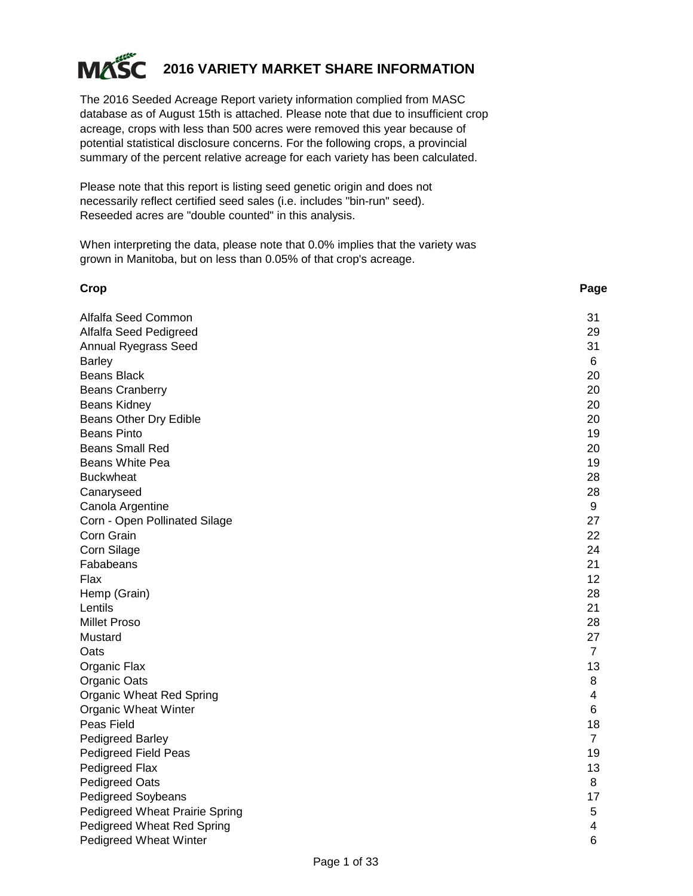

#### **2016 VARIETY MARKET SHARE INFORMATION**

The 2016 Seeded Acreage Report variety information complied from MASC database as of August 15th is attached. Please note that due to insufficient crop acreage, crops with less than 500 acres were removed this year because of potential statistical disclosure concerns. For the following crops, a provincial summary of the percent relative acreage for each variety has been calculated.

Please note that this report is listing seed genetic origin and does not necessarily reflect certified seed sales (i.e. includes "bin-run" seed). Reseeded acres are "double counted" in this analysis.

When interpreting the data, please note that 0.0% implies that the variety was grown in Manitoba, but on less than 0.05% of that crop's acreage.

| Crop                                  | Page           |
|---------------------------------------|----------------|
| Alfalfa Seed Common                   | 31             |
| Alfalfa Seed Pedigreed                | 29             |
| Annual Ryegrass Seed                  | 31             |
| <b>Barley</b>                         | 6              |
| Beans Black                           | 20             |
| <b>Beans Cranberry</b>                | 20             |
| <b>Beans Kidney</b>                   | 20             |
| Beans Other Dry Edible                | 20             |
| <b>Beans Pinto</b>                    | 19             |
| <b>Beans Small Red</b>                | 20             |
| Beans White Pea                       | 19             |
| <b>Buckwheat</b>                      | 28             |
| Canaryseed                            | 28             |
| Canola Argentine                      | 9              |
| Corn - Open Pollinated Silage         | 27             |
| Corn Grain                            | 22             |
| Corn Silage                           | 24             |
| Fababeans                             | 21             |
| Flax                                  | 12             |
| Hemp (Grain)                          | 28             |
| Lentils                               | 21             |
| <b>Millet Proso</b>                   | 28             |
| Mustard                               | 27             |
| Oats                                  | $\overline{7}$ |
| Organic Flax                          | 13             |
| Organic Oats                          | 8              |
| <b>Organic Wheat Red Spring</b>       | 4              |
| <b>Organic Wheat Winter</b>           | 6              |
| Peas Field                            | 18             |
| <b>Pedigreed Barley</b>               | $\overline{7}$ |
| Pedigreed Field Peas                  | 19             |
| Pedigreed Flax                        | 13             |
| <b>Pedigreed Oats</b>                 | 8              |
| <b>Pedigreed Soybeans</b>             | 17             |
| <b>Pedigreed Wheat Prairie Spring</b> | 5              |
| Pedigreed Wheat Red Spring            | 4              |
| Pedigreed Wheat Winter                | 6              |
|                                       |                |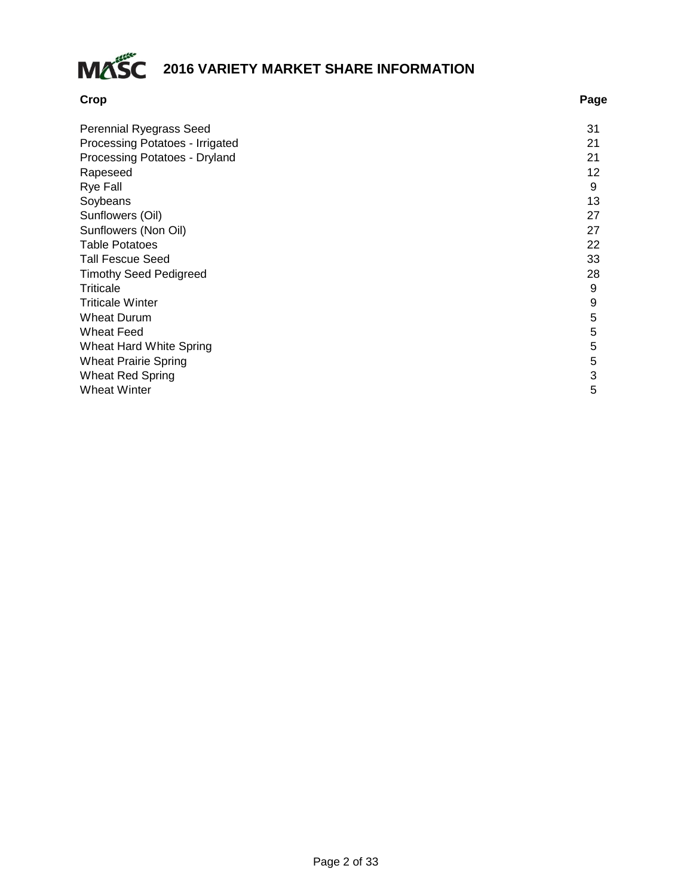

| Crop                            | Page |
|---------------------------------|------|
| Perennial Ryegrass Seed         | 31   |
| Processing Potatoes - Irrigated | 21   |
| Processing Potatoes - Dryland   | 21   |
| Rapeseed                        | 12   |
| <b>Rye Fall</b>                 | 9    |
| Soybeans                        | 13   |
| Sunflowers (Oil)                | 27   |
| Sunflowers (Non Oil)            | 27   |
| <b>Table Potatoes</b>           | 22   |
| <b>Tall Fescue Seed</b>         | 33   |
| <b>Timothy Seed Pedigreed</b>   | 28   |
| <b>Triticale</b>                | 9    |
| <b>Triticale Winter</b>         | 9    |
| <b>Wheat Durum</b>              | 5    |
| <b>Wheat Feed</b>               | 5    |
| Wheat Hard White Spring         | 5    |
| <b>Wheat Prairie Spring</b>     | 5    |
| <b>Wheat Red Spring</b>         | 3    |
| <b>Wheat Winter</b>             | 5    |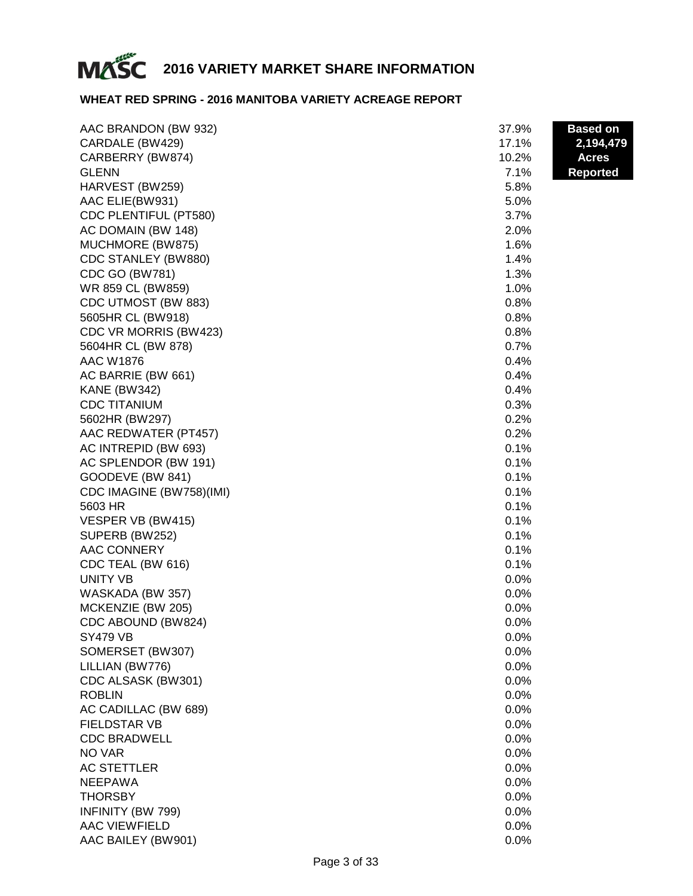

#### **WHEAT RED SPRING - 2016 MANITOBA VARIETY ACREAGE REPORT**

| AAC BRANDON (BW 932)     | 37.9% | <b>Based on</b> |
|--------------------------|-------|-----------------|
| CARDALE (BW429)          | 17.1% | 2,194,479       |
| CARBERRY (BW874)         | 10.2% | <b>Acres</b>    |
| <b>GLENN</b>             | 7.1%  | <b>Reported</b> |
| HARVEST (BW259)          | 5.8%  |                 |
| AAC ELIE(BW931)          | 5.0%  |                 |
| CDC PLENTIFUL (PT580)    | 3.7%  |                 |
| AC DOMAIN (BW 148)       | 2.0%  |                 |
| MUCHMORE (BW875)         | 1.6%  |                 |
| CDC STANLEY (BW880)      | 1.4%  |                 |
| <b>CDC GO (BW781)</b>    | 1.3%  |                 |
| WR 859 CL (BW859)        | 1.0%  |                 |
| CDC UTMOST (BW 883)      | 0.8%  |                 |
| 5605HR CL (BW918)        | 0.8%  |                 |
| CDC VR MORRIS (BW423)    | 0.8%  |                 |
| 5604HR CL (BW 878)       | 0.7%  |                 |
| <b>AAC W1876</b>         | 0.4%  |                 |
| AC BARRIE (BW 661)       | 0.4%  |                 |
| <b>KANE (BW342)</b>      | 0.4%  |                 |
| <b>CDC TITANIUM</b>      | 0.3%  |                 |
| 5602HR (BW297)           | 0.2%  |                 |
| AAC REDWATER (PT457)     | 0.2%  |                 |
| AC INTREPID (BW 693)     | 0.1%  |                 |
| AC SPLENDOR (BW 191)     | 0.1%  |                 |
| GOODEVE (BW 841)         | 0.1%  |                 |
| CDC IMAGINE (BW758)(IMI) | 0.1%  |                 |
| 5603 HR                  | 0.1%  |                 |
| VESPER VB (BW415)        | 0.1%  |                 |
| SUPERB (BW252)           | 0.1%  |                 |
| <b>AAC CONNERY</b>       | 0.1%  |                 |
| CDC TEAL (BW 616)        | 0.1%  |                 |
| <b>UNITY VB</b>          | 0.0%  |                 |
| WASKADA (BW 357)         | 0.0%  |                 |
| MCKENZIE (BW 205)        | 0.0%  |                 |
| CDC ABOUND (BW824)       | 0.0%  |                 |
| SY479 VB                 | 0.0%  |                 |
| SOMERSET (BW307)         | 0.0%  |                 |
| LILLIAN (BW776)          | 0.0%  |                 |
| CDC ALSASK (BW301)       | 0.0%  |                 |
| <b>ROBLIN</b>            | 0.0%  |                 |
| AC CADILLAC (BW 689)     | 0.0%  |                 |
| <b>FIELDSTAR VB</b>      | 0.0%  |                 |
| <b>CDC BRADWELL</b>      | 0.0%  |                 |
| NO VAR                   | 0.0%  |                 |
| <b>AC STETTLER</b>       | 0.0%  |                 |
| <b>NEEPAWA</b>           | 0.0%  |                 |
| <b>THORSBY</b>           | 0.0%  |                 |
| INFINITY (BW 799)        | 0.0%  |                 |
| <b>AAC VIEWFIELD</b>     | 0.0%  |                 |
| AAC BAILEY (BW901)       | 0.0%  |                 |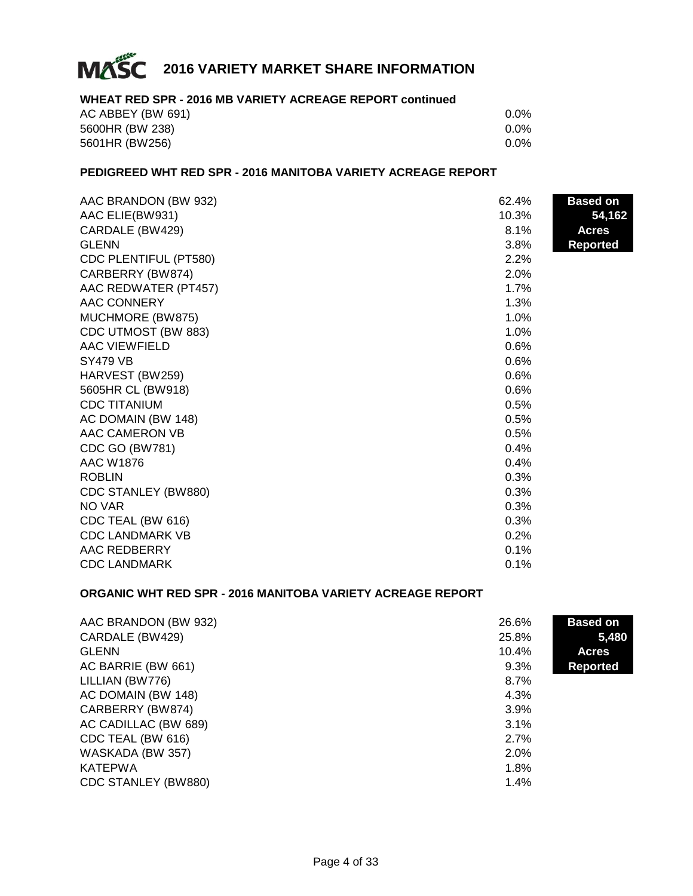

#### **WHEAT RED SPR - 2016 MB VARIETY ACREAGE REPORT continued**

| AC ABBEY (BW 691) | 0.0%    |
|-------------------|---------|
| 5600HR (BW 238)   | $0.0\%$ |
| 5601HR (BW256)    | $0.0\%$ |

#### **PEDIGREED WHT RED SPR - 2016 MANITOBA VARIETY ACREAGE REPORT**

| AAC BRANDON (BW 932)   | 62.4% | <b>Based on</b> |
|------------------------|-------|-----------------|
| AAC ELIE(BW931)        | 10.3% | 54,162          |
| CARDALE (BW429)        | 8.1%  | <b>Acres</b>    |
| <b>GLENN</b>           | 3.8%  | <b>Reported</b> |
| CDC PLENTIFUL (PT580)  | 2.2%  |                 |
| CARBERRY (BW874)       | 2.0%  |                 |
| AAC REDWATER (PT457)   | 1.7%  |                 |
| AAC CONNERY            | 1.3%  |                 |
| MUCHMORE (BW875)       | 1.0%  |                 |
| CDC UTMOST (BW 883)    | 1.0%  |                 |
| <b>AAC VIEWFIELD</b>   | 0.6%  |                 |
| <b>SY479 VB</b>        | 0.6%  |                 |
| HARVEST (BW259)        | 0.6%  |                 |
| 5605HR CL (BW918)      | 0.6%  |                 |
| <b>CDC TITANIUM</b>    | 0.5%  |                 |
| AC DOMAIN (BW 148)     | 0.5%  |                 |
| AAC CAMERON VB         | 0.5%  |                 |
| <b>CDC GO (BW781)</b>  | 0.4%  |                 |
| <b>AAC W1876</b>       | 0.4%  |                 |
| <b>ROBLIN</b>          | 0.3%  |                 |
| CDC STANLEY (BW880)    | 0.3%  |                 |
| NO VAR                 | 0.3%  |                 |
| CDC TEAL (BW 616)      | 0.3%  |                 |
| <b>CDC LANDMARK VB</b> | 0.2%  |                 |
| AAC REDBERRY           | 0.1%  |                 |
| <b>CDC LANDMARK</b>    | 0.1%  |                 |

#### **ORGANIC WHT RED SPR - 2016 MANITOBA VARIETY ACREAGE REPORT**

| AAC BRANDON (BW 932) | 26.6% | <b>Based on</b> |
|----------------------|-------|-----------------|
| CARDALE (BW429)      | 25.8% | 5,480           |
| <b>GLENN</b>         | 10.4% | <b>Acres</b>    |
| AC BARRIE (BW 661)   | 9.3%  | <b>Reported</b> |
| LILLIAN (BW776)      | 8.7%  |                 |
| AC DOMAIN (BW 148)   | 4.3%  |                 |
| CARBERRY (BW874)     | 3.9%  |                 |
| AC CADILLAC (BW 689) | 3.1%  |                 |
| CDC TEAL (BW 616)    | 2.7%  |                 |
| WASKADA (BW 357)     | 2.0%  |                 |
| <b>KATEPWA</b>       | 1.8%  |                 |
| CDC STANLEY (BW880)  | 1.4%  |                 |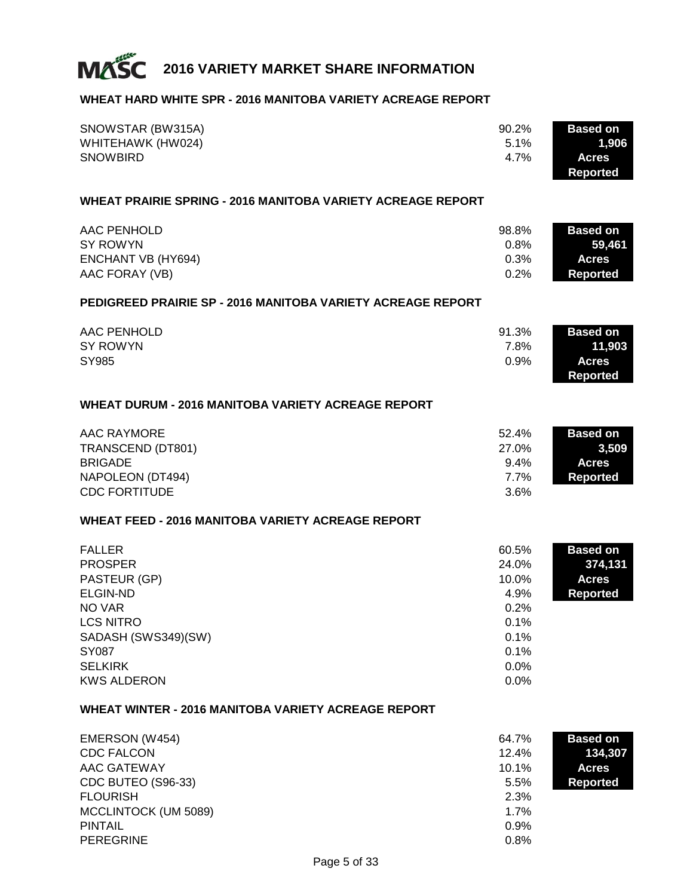

#### **WHEAT HARD WHITE SPR - 2016 MANITOBA VARIETY ACREAGE REPORT**

| SNOWSTAR (BW315A)<br>WHITEHAWK (HW024)<br><b>SNOWBIRD</b>                                                                                                                | 90.2%<br>5.1%<br>4.7%                                                           | <b>Based on</b><br>1,906<br><b>Acres</b><br><b>Reported</b>   |
|--------------------------------------------------------------------------------------------------------------------------------------------------------------------------|---------------------------------------------------------------------------------|---------------------------------------------------------------|
| <b>WHEAT PRAIRIE SPRING - 2016 MANITOBA VARIETY ACREAGE REPORT</b>                                                                                                       |                                                                                 |                                                               |
| AAC PENHOLD<br><b>SY ROWYN</b><br><b>ENCHANT VB (HY694)</b><br>AAC FORAY (VB)                                                                                            | 98.8%<br>0.8%<br>0.3%<br>0.2%                                                   | <b>Based on</b><br>59,461<br><b>Acres</b><br><b>Reported</b>  |
| <b>PEDIGREED PRAIRIE SP - 2016 MANITOBA VARIETY ACREAGE REPORT</b>                                                                                                       |                                                                                 |                                                               |
| <b>AAC PENHOLD</b><br><b>SY ROWYN</b><br>SY985                                                                                                                           | 91.3%<br>7.8%<br>0.9%                                                           | <b>Based on</b><br>11,903<br><b>Acres</b><br><b>Reported</b>  |
| <b>WHEAT DURUM - 2016 MANITOBA VARIETY ACREAGE REPORT</b>                                                                                                                |                                                                                 |                                                               |
| <b>AAC RAYMORE</b><br>TRANSCEND (DT801)<br><b>BRIGADE</b><br>NAPOLEON (DT494)<br><b>CDC FORTITUDE</b>                                                                    | 52.4%<br>27.0%<br>9.4%<br>7.7%<br>3.6%                                          | <b>Based on</b><br>3,509<br><b>Acres</b><br><b>Reported</b>   |
| <b>WHEAT FEED - 2016 MANITOBA VARIETY ACREAGE REPORT</b>                                                                                                                 |                                                                                 |                                                               |
| <b>FALLER</b><br><b>PROSPER</b><br>PASTEUR (GP)<br><b>ELGIN-ND</b><br>NO VAR<br><b>LCS NITRO</b><br>SADASH (SWS349)(SW)<br>SY087<br><b>SELKIRK</b><br><b>KWS ALDERON</b> | 60.5%<br>24.0%<br>10.0%<br>4.9%<br>0.2%<br>0.1%<br>0.1%<br>0.1%<br>0.0%<br>0.0% | <b>Based on</b><br>374,131<br><b>Acres</b><br><b>Reported</b> |
| <b>WHEAT WINTER - 2016 MANITOBA VARIETY ACREAGE REPORT</b>                                                                                                               |                                                                                 |                                                               |
| EMERSON (W454)<br><b>CDC FALCON</b><br><b>AAC GATEWAY</b><br>CDC BUTEO (S96-33)<br><b>FLOURISH</b><br>MCCLINTOCK (UM 5089)<br><b>PINTAIL</b><br><b>PEREGRINE</b>         | 64.7%<br>12.4%<br>10.1%<br>5.5%<br>2.3%<br>1.7%<br>0.9%<br>0.8%                 | <b>Based on</b><br>134,307<br><b>Acres</b><br><b>Reported</b> |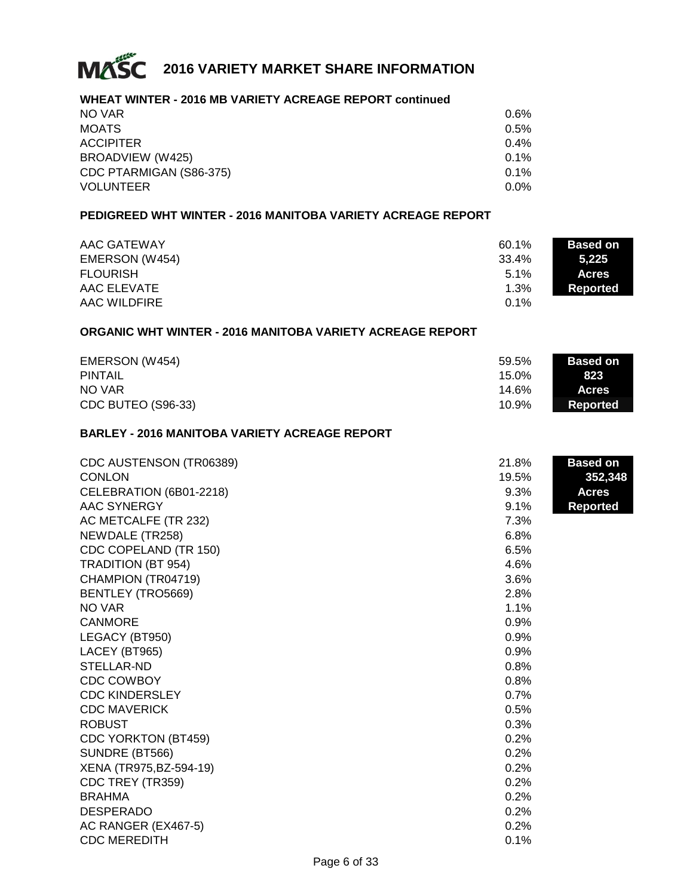

#### **WHEAT WINTER - 2016 MB VARIETY ACREAGE REPORT continued**

| NO VAR                  | 0.6%    |
|-------------------------|---------|
| <b>MOATS</b>            | 0.5%    |
| <b>ACCIPITER</b>        | 0.4%    |
| BROADVIEW (W425)        | 0.1%    |
| CDC PTARMIGAN (S86-375) | 0.1%    |
| <b>VOLUNTEER</b>        | $0.0\%$ |

#### **PEDIGREED WHT WINTER - 2016 MANITOBA VARIETY ACREAGE REPORT**

| AAC GATEWAY     | 60.1%   | <b>Based on</b> |
|-----------------|---------|-----------------|
| EMERSON (W454)  | 33.4%   | 5.225           |
| <b>FLOURISH</b> | $5.1\%$ | <b>Acres</b>    |
| AAC ELEVATE     | 1.3%    | Reported        |
| AAC WILDFIRE    | $0.1\%$ |                 |

#### **ORGANIC WHT WINTER - 2016 MANITOBA VARIETY ACREAGE REPORT**

| EMERSON (W454)     | 59.5% | <b>Based on</b> |
|--------------------|-------|-----------------|
| <b>PINTAIL</b>     | 15.0% | 823             |
| NO VAR             | 14.6% | <b>Acres</b>    |
| CDC BUTEO (S96-33) | 10.9% | Reported        |

#### **BARLEY - 2016 MANITOBA VARIETY ACREAGE REPORT**

| CDC AUSTENSON (TR06389)    | 21.8% | <b>Based on</b> |
|----------------------------|-------|-----------------|
| <b>CONLON</b>              | 19.5% | 352,348         |
| CELEBRATION (6B01-2218)    | 9.3%  | <b>Acres</b>    |
| AAC SYNERGY                | 9.1%  | <b>Reported</b> |
| AC METCALFE (TR 232)       | 7.3%  |                 |
| NEWDALE (TR258)            | 6.8%  |                 |
| CDC COPELAND (TR 150)      | 6.5%  |                 |
| <b>TRADITION (BT 954)</b>  | 4.6%  |                 |
| CHAMPION (TR04719)         | 3.6%  |                 |
| BENTLEY (TRO5669)          | 2.8%  |                 |
| NO VAR                     | 1.1%  |                 |
| <b>CANMORE</b>             | 0.9%  |                 |
| LEGACY (BT950)             | 0.9%  |                 |
| LACEY (BT965)              | 0.9%  |                 |
| <b>STELLAR-ND</b>          | 0.8%  |                 |
| <b>CDC COWBOY</b>          | 0.8%  |                 |
| <b>CDC KINDERSLEY</b>      | 0.7%  |                 |
| <b>CDC MAVERICK</b>        | 0.5%  |                 |
| <b>ROBUST</b>              | 0.3%  |                 |
| <b>CDC YORKTON (BT459)</b> | 0.2%  |                 |
| SUNDRE (BT566)             | 0.2%  |                 |
| XENA (TR975, BZ-594-19)    | 0.2%  |                 |
| CDC TREY (TR359)           | 0.2%  |                 |
| <b>BRAHMA</b>              | 0.2%  |                 |
| <b>DESPERADO</b>           | 0.2%  |                 |
| AC RANGER (EX467-5)        | 0.2%  |                 |
| <b>CDC MEREDITH</b>        | 0.1%  |                 |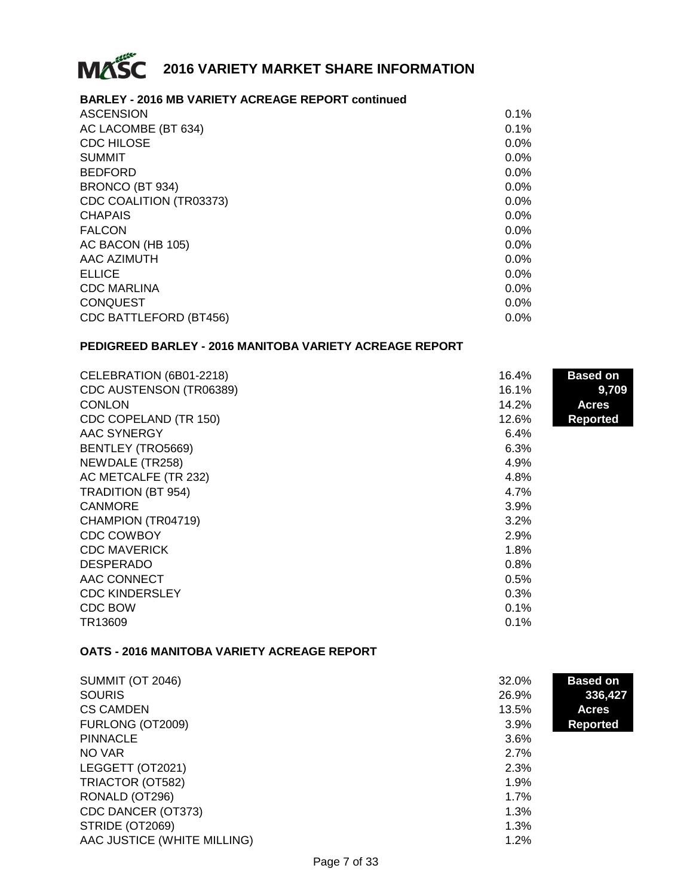

#### **BARLEY - 2016 MB VARIETY ACREAGE REPORT continued**

| <b>ASCENSION</b>              | 0.1%    |
|-------------------------------|---------|
| AC LACOMBE (BT 634)           | 0.1%    |
| <b>CDC HILOSE</b>             | $0.0\%$ |
| <b>SUMMIT</b>                 | 0.0%    |
| <b>BEDFORD</b>                | 0.0%    |
| BRONCO (BT 934)               | 0.0%    |
| CDC COALITION (TR03373)       | 0.0%    |
| <b>CHAPAIS</b>                | $0.0\%$ |
| <b>FALCON</b>                 | $0.0\%$ |
| AC BACON (HB 105)             | $0.0\%$ |
| AAC AZIMUTH                   | 0.0%    |
| <b>ELLICE</b>                 | 0.0%    |
| <b>CDC MARLINA</b>            | 0.0%    |
| <b>CONQUEST</b>               | 0.0%    |
| <b>CDC BATTLEFORD (BT456)</b> | $0.0\%$ |
|                               |         |

#### **PEDIGREED BARLEY - 2016 MANITOBA VARIETY ACREAGE REPORT**

| CELEBRATION (6B01-2218)   | 16.4% | <b>Based on</b> |
|---------------------------|-------|-----------------|
| CDC AUSTENSON (TR06389)   | 16.1% | 9,709           |
| <b>CONLON</b>             | 14.2% | <b>Acres</b>    |
| CDC COPELAND (TR 150)     | 12.6% | <b>Reported</b> |
| AAC SYNERGY               | 6.4%  |                 |
| BENTLEY (TRO5669)         | 6.3%  |                 |
| NEWDALE (TR258)           | 4.9%  |                 |
| AC METCALFE (TR 232)      | 4.8%  |                 |
| <b>TRADITION (BT 954)</b> | 4.7%  |                 |
| <b>CANMORE</b>            | 3.9%  |                 |
| CHAMPION (TR04719)        | 3.2%  |                 |
| CDC COWBOY                | 2.9%  |                 |
| <b>CDC MAVERICK</b>       | 1.8%  |                 |
| <b>DESPERADO</b>          | 0.8%  |                 |
| AAC CONNECT               | 0.5%  |                 |
| <b>CDC KINDERSLEY</b>     | 0.3%  |                 |
| CDC BOW                   | 0.1%  |                 |
| TR13609                   | 0.1%  |                 |

#### **OATS - 2016 MANITOBA VARIETY ACREAGE REPORT**

| <b>SUMMIT (OT 2046)</b>     | 32.0% | <b>Based on</b> |
|-----------------------------|-------|-----------------|
| <b>SOURIS</b>               | 26.9% | 336,427         |
| <b>CS CAMDEN</b>            | 13.5% | <b>Acres</b>    |
| FURLONG (OT2009)            | 3.9%  | <b>Reported</b> |
| <b>PINNACLE</b>             | 3.6%  |                 |
| NO VAR                      | 2.7%  |                 |
| LEGGETT (OT2021)            | 2.3%  |                 |
| TRIACTOR (OT582)            | 1.9%  |                 |
| RONALD (OT296)              | 1.7%  |                 |
| CDC DANCER (OT373)          | 1.3%  |                 |
| STRIDE (OT2069)             | 1.3%  |                 |
| AAC JUSTICE (WHITE MILLING) | 1.2%  |                 |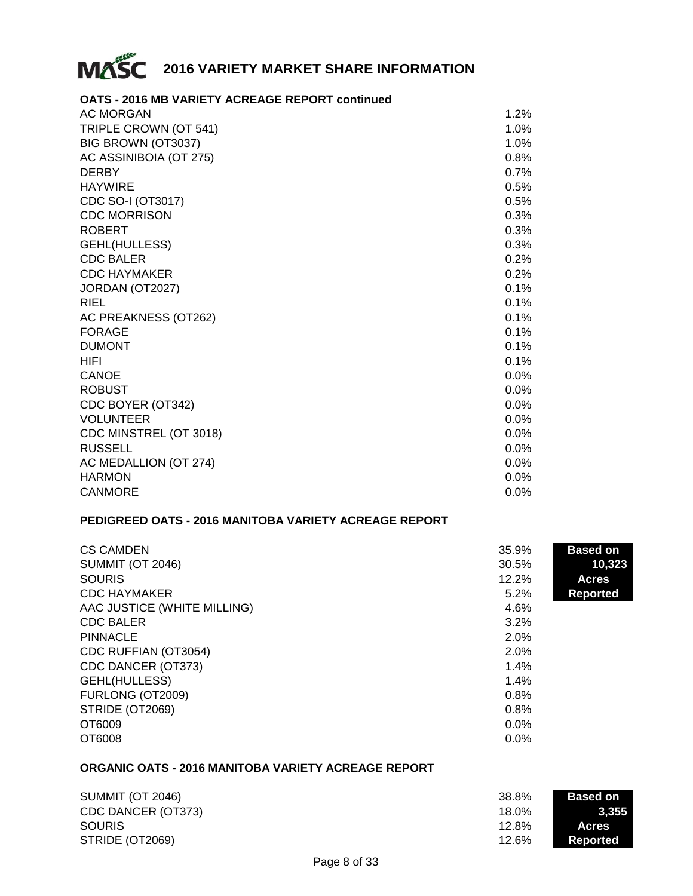

#### **OATS - 2016 MB VARIETY ACREAGE REPORT continued**

| <b>AC MORGAN</b>       | 1.2%    |
|------------------------|---------|
| TRIPLE CROWN (OT 541)  | 1.0%    |
| BIG BROWN (OT3037)     | 1.0%    |
| AC ASSINIBOIA (OT 275) | 0.8%    |
| <b>DERBY</b>           | 0.7%    |
| <b>HAYWIRE</b>         | 0.5%    |
| CDC SO-I (OT3017)      | 0.5%    |
| <b>CDC MORRISON</b>    | 0.3%    |
| <b>ROBERT</b>          | 0.3%    |
| GEHL(HULLESS)          | 0.3%    |
| <b>CDC BALER</b>       | 0.2%    |
| <b>CDC HAYMAKER</b>    | 0.2%    |
| JORDAN (OT2027)        | 0.1%    |
| <b>RIEL</b>            | 0.1%    |
| AC PREAKNESS (OT262)   | 0.1%    |
| <b>FORAGE</b>          | 0.1%    |
| <b>DUMONT</b>          | 0.1%    |
| HIFI                   | 0.1%    |
| <b>CANOE</b>           | $0.0\%$ |
| <b>ROBUST</b>          | 0.0%    |
| CDC BOYER (OT342)      | 0.0%    |
| <b>VOLUNTEER</b>       | $0.0\%$ |
| CDC MINSTREL (OT 3018) | 0.0%    |
| <b>RUSSELL</b>         | $0.0\%$ |
| AC MEDALLION (OT 274)  | $0.0\%$ |
| <b>HARMON</b>          | 0.0%    |
| <b>CANMORE</b>         | $0.0\%$ |

#### **PEDIGREED OATS - 2016 MANITOBA VARIETY ACREAGE REPORT**

| <b>CS CAMDEN</b>            | 35.9%   | <b>Based on</b> |
|-----------------------------|---------|-----------------|
| <b>SUMMIT (OT 2046)</b>     | 30.5%   | 10,323          |
| <b>SOURIS</b>               | 12.2%   | <b>Acres</b>    |
| <b>CDC HAYMAKER</b>         | 5.2%    | <b>Reported</b> |
| AAC JUSTICE (WHITE MILLING) | 4.6%    |                 |
| <b>CDC BALER</b>            | 3.2%    |                 |
| <b>PINNACLE</b>             | 2.0%    |                 |
| CDC RUFFIAN (OT3054)        | 2.0%    |                 |
| CDC DANCER (OT373)          | 1.4%    |                 |
| GEHL(HULLESS)               | 1.4%    |                 |
| FURLONG (OT2009)            | 0.8%    |                 |
| STRIDE (OT2069)             | 0.8%    |                 |
| OT6009                      | $0.0\%$ |                 |
| OT6008                      | 0.0%    |                 |

#### **ORGANIC OATS - 2016 MANITOBA VARIETY ACREAGE REPORT**

| <b>SUMMIT (OT 2046)</b> | 38.8% | <b>Based on</b> |
|-------------------------|-------|-----------------|
| CDC DANCER (OT373)      | 18.0% | 3.355           |
| <b>SOURIS</b>           | 12.8% | <b>Acres</b>    |
| STRIDE (OT2069)         | 12.6% | Reported        |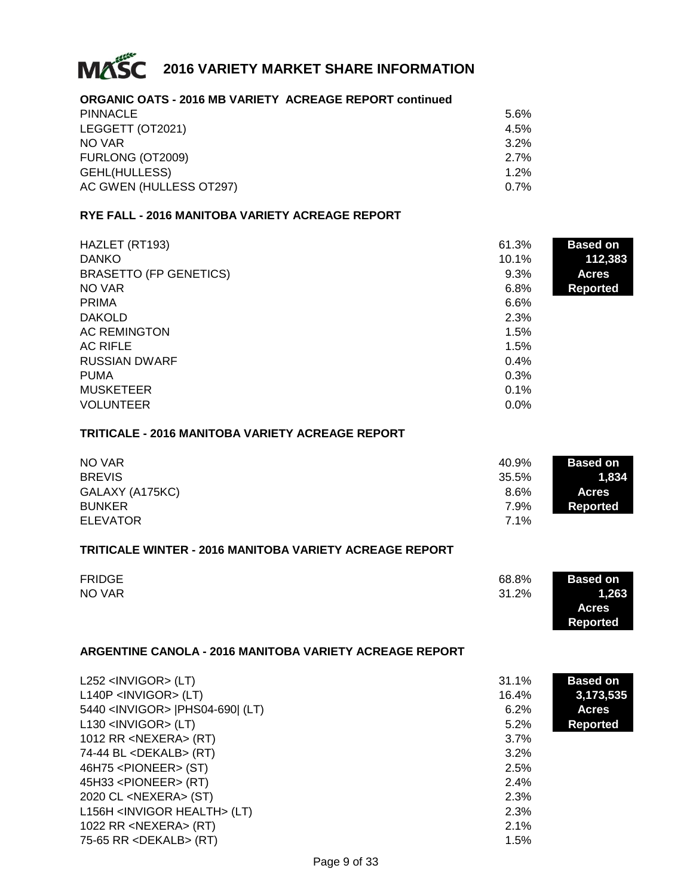

#### **ORGANIC OATS - 2016 MB VARIETY ACREAGE REPORT continued**

| <b>PINNACLE</b>         | 5.6% |
|-------------------------|------|
| LEGGETT (OT2021)        | 4.5% |
| NO VAR                  | 3.2% |
| FURLONG (OT2009)        | 2.7% |
| GEHL(HULLESS)           | 1.2% |
| AC GWEN (HULLESS OT297) | 0.7% |
|                         |      |

#### **RYE FALL - 2016 MANITOBA VARIETY ACREAGE REPORT**

| HAZLET (RT193)                | 61.3% | <b>Based on</b> |
|-------------------------------|-------|-----------------|
| <b>DANKO</b>                  | 10.1% | 112,383         |
| <b>BRASETTO (FP GENETICS)</b> | 9.3%  | <b>Acres</b>    |
| NO VAR                        | 6.8%  | <b>Reported</b> |
| <b>PRIMA</b>                  | 6.6%  |                 |
| <b>DAKOLD</b>                 | 2.3%  |                 |
| <b>AC REMINGTON</b>           | 1.5%  |                 |
| <b>AC RIFLE</b>               | 1.5%  |                 |
| <b>RUSSIAN DWARF</b>          | 0.4%  |                 |
| <b>PUMA</b>                   | 0.3%  |                 |
| <b>MUSKETEER</b>              | 0.1%  |                 |
| <b>VOLUNTEER</b>              | 0.0%  |                 |

#### **TRITICALE - 2016 MANITOBA VARIETY ACREAGE REPORT**

| NO VAR          | 40.9% | <b>Based on</b> |
|-----------------|-------|-----------------|
| <b>BREVIS</b>   | 35.5% | 1.834           |
| GALAXY (A175KC) | 8.6%  | <b>Acres</b>    |
| <b>BUNKER</b>   | 7.9%  | Reported        |
| <b>ELEVATOR</b> | 7.1%  |                 |

#### **TRITICALE WINTER - 2016 MANITOBA VARIETY ACREAGE REPORT**

| <b>FRIDGE</b> | 68.8% | <b>Based on</b> |
|---------------|-------|-----------------|
| NO VAR        | 31.2% | 1,263           |
|               |       | <b>Acres</b>    |

**Reported**

#### **ARGENTINE CANOLA - 2016 MANITOBA VARIETY ACREAGE REPORT**

| $L252$ <invigor> (LT)</invigor>           | 31.1%   | <b>Based on</b> |
|-------------------------------------------|---------|-----------------|
| $L140P$ <invigor> (LT)</invigor>          | 16.4%   | 3,173,535       |
| 5440 <invigor>  PHS04-690  (LT)</invigor> | 6.2%    | <b>Acres</b>    |
| $L130$ <invigor> (LT)</invigor>           | $5.2\%$ | <b>Reported</b> |
| 1012 RR < $NEXERA$ > (RT)                 | 3.7%    |                 |
| 74-44 BL <dekalb> (RT)</dekalb>           | 3.2%    |                 |
| 46H75 <pioneer> (ST)</pioneer>            | 2.5%    |                 |
| $45H33$ <pioneer> (RT)</pioneer>          | 2.4%    |                 |
| 2020 CL <nexera> (ST)</nexera>            | 2.3%    |                 |
| L156H <invigor health=""> (LT)</invigor>  | 2.3%    |                 |
| 1022 RR <nexera> (RT)</nexera>            | 2.1%    |                 |
| 75-65 RR $\leq$ DEKALB $>$ (RT)           | 1.5%    |                 |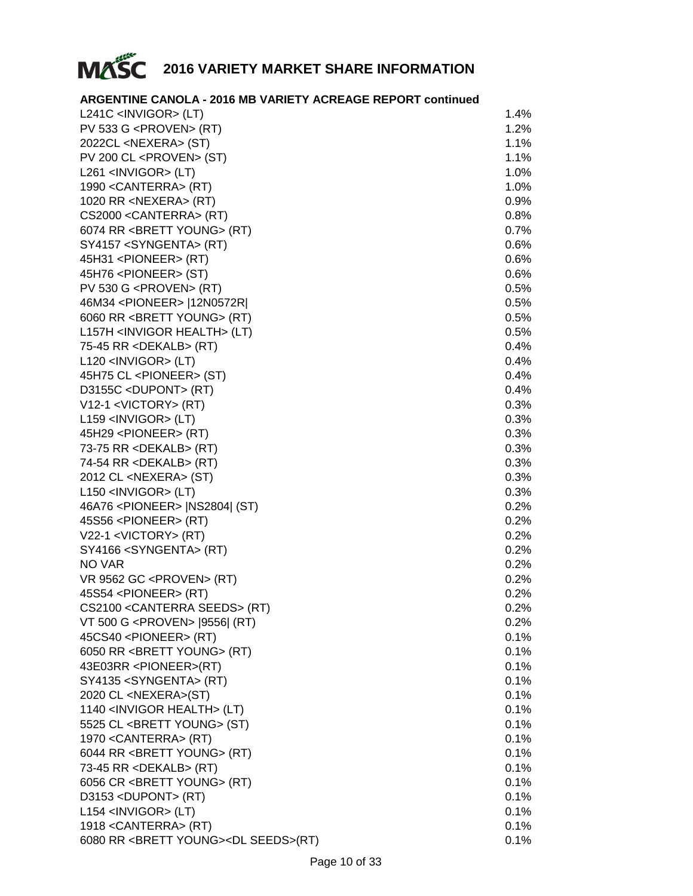

#### **ARGENTINE CANOLA - 2016 MB VARIETY ACREAGE REPORT continued**

| $L241C$ <invigor> (LT)</invigor>                       | 1.4% |
|--------------------------------------------------------|------|
| PV 533 G <proven> (RT)</proven>                        | 1.2% |
| 2022CL <nexera> (ST)</nexera>                          | 1.1% |
| PV 200 CL <proven> (ST)</proven>                       | 1.1% |
| $L261$ <invigor> (LT)</invigor>                        | 1.0% |
| 1990 < CANTERRA > (RT)                                 | 1.0% |
| 1020 RR <nexera> (RT)</nexera>                         | 0.9% |
| CS2000 < CANTERRA > (RT)                               | 0.8% |
| 6074 RR <brett young=""> (RT)</brett>                  | 0.7% |
| SY4157 <syngenta> (RT)</syngenta>                      | 0.6% |
| 45H31 <pioneer> (RT)</pioneer>                         | 0.6% |
| 45H76 <pioneer> (ST)</pioneer>                         | 0.6% |
| PV 530 G <proven> (RT)</proven>                        | 0.5% |
| 46M34 <pioneer>  12N0572R </pioneer>                   | 0.5% |
| 6060 RR <brett young=""> (RT)</brett>                  | 0.5% |
| L157H <invigor health=""> (LT)</invigor>               | 0.5% |
| 75-45 RR <dekalb> (RT)</dekalb>                        | 0.4% |
| L120 <invigor> (LT)</invigor>                          | 0.4% |
| 45H75 CL <pioneer> (ST)</pioneer>                      | 0.4% |
| D3155C <dupont> (RT)</dupont>                          | 0.4% |
| V12-1 <victory> (RT)</victory>                         | 0.3% |
| L159 <invigor> (LT)</invigor>                          | 0.3% |
|                                                        | 0.3% |
| 45H29 <pioneer> (RT)</pioneer>                         | 0.3% |
| 73-75 RR <dekalb> (RT)</dekalb>                        |      |
| 74-54 RR <dekalb> (RT)</dekalb>                        | 0.3% |
| 2012 CL <nexera> (ST)</nexera>                         | 0.3% |
| L150 <invigor> (LT)</invigor>                          | 0.3% |
| 46A76 <pioneer>   NS2804   (ST)</pioneer>              | 0.2% |
| 45S56 <pioneer> (RT)</pioneer>                         | 0.2% |
| V22-1 <victory> (RT)</victory>                         | 0.2% |
| SY4166 <syngenta> (RT)</syngenta>                      | 0.2% |
| NO VAR                                                 | 0.2% |
| VR 9562 GC <proven> (RT)</proven>                      | 0.2% |
| 45S54 <pioneer> (RT)</pioneer>                         | 0.2% |
| CS2100 < CANTERRA SEEDS > (RT)                         | 0.2% |
| VT 500 G <proven> [9556] (RT)</proven>                 | 0.2% |
| 45CS40 <pioneer> (RT)</pioneer>                        | 0.1% |
| 6050 RR <brett young=""> (RT)</brett>                  | 0.1% |
| 43E03RR <pioneer>(RT)</pioneer>                        | 0.1% |
| SY4135 <syngenta> (RT)</syngenta>                      | 0.1% |
| 2020 CL <nexera>(ST)</nexera>                          | 0.1% |
| 1140 <invigor health=""> (LT)</invigor>                | 0.1% |
| 5525 CL <brett young=""> (ST)</brett>                  | 0.1% |
| 1970 < CANTERRA > (RT)                                 | 0.1% |
| 6044 RR <brett young=""> (RT)</brett>                  | 0.1% |
| 73-45 RR <dekalb> (RT)</dekalb>                        | 0.1% |
| 6056 CR <brett young=""> (RT)</brett>                  | 0.1% |
| D3153 <dupont> (RT)</dupont>                           | 0.1% |
| L154 <invigor> (LT)</invigor>                          | 0.1% |
| 1918 < CANTERRA > (RT)                                 | 0.1% |
| 6080 RR <brett young=""><dl seeds="">(RT)</dl></brett> | 0.1% |
|                                                        |      |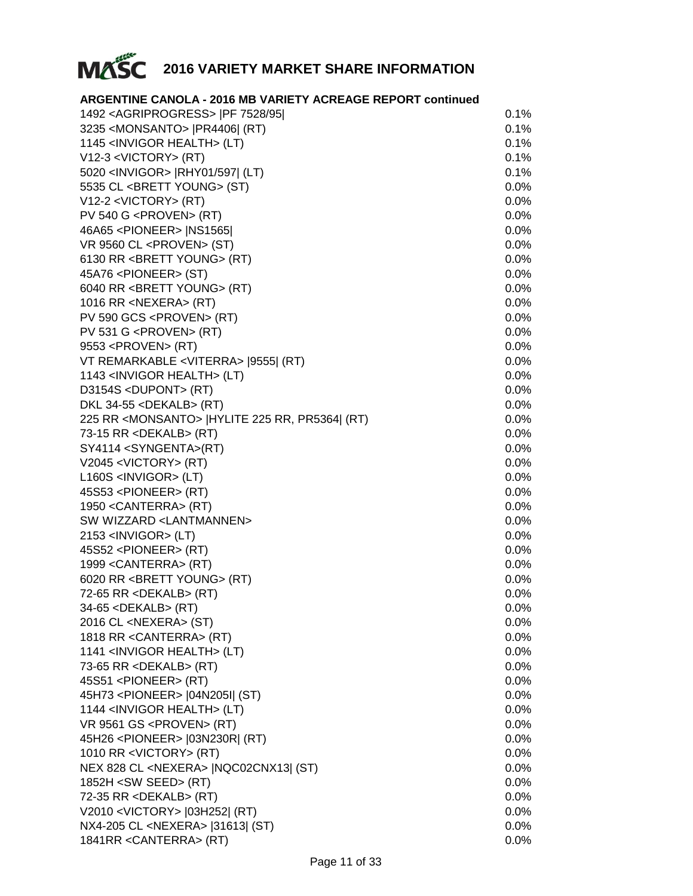

| <b>ARGENTINE CANOLA - 2016 MB VARIETY ACREAGE REPORT continued</b> |         |
|--------------------------------------------------------------------|---------|
| 1492 < AGRIPROGRESS >   PF 7528/95                                 | 0.1%    |
| 3235 < MONSANTO >   PR4406  (RT)                                   | 0.1%    |
| 1145 <invigor health=""> (LT)</invigor>                            | 0.1%    |
| V12-3 <victory> (RT)</victory>                                     | 0.1%    |
| 5020 <invigor>  RHY01/597  (LT)</invigor>                          | 0.1%    |
| 5535 CL <brett young=""> (ST)</brett>                              | 0.0%    |
| $V12-2 < VICTORY > (RT)$                                           | 0.0%    |
| $PV$ 540 G <proven> (RT)</proven>                                  | $0.0\%$ |
| 46A65 <pioneer>   NS1565  </pioneer>                               | 0.0%    |
| VR 9560 CL <proven> (ST)</proven>                                  | 0.0%    |
| 6130 RR <brett young=""> (RT)</brett>                              | 0.0%    |
| 45A76 <pioneer> (ST)</pioneer>                                     | 0.0%    |
| 6040 RR <brett young=""> (RT)</brett>                              | 0.0%    |
| 1016 RR <nexera> (RT)</nexera>                                     | 0.0%    |
| PV 590 GCS <proven> (RT)</proven>                                  | 0.0%    |
| PV 531 G <proven> (RT)</proven>                                    | $0.0\%$ |
| 9553 <proven> (RT)</proven>                                        | $0.0\%$ |
| VT REMARKABLE <viterra> [9555] (RT)</viterra>                      | $0.0\%$ |
| 1143 <invigor health=""> (LT)</invigor>                            | $0.0\%$ |
| D3154S <dupont> (RT)</dupont>                                      | 0.0%    |
| DKL 34-55 <dekalb> (RT)</dekalb>                                   | 0.0%    |
| 225 RR < MONSANTO >   HYLITE 225 RR, PR5364  (RT)                  | 0.0%    |
| 73-15 RR <dekalb> (RT)</dekalb>                                    | 0.0%    |
| SY4114 <syngenta>(RT)</syngenta>                                   | 0.0%    |
| V2045 <victory> (RT)</victory>                                     | 0.0%    |
| $L160S$ <invigor> (LT)</invigor>                                   | 0.0%    |
| 45S53 <pioneer> (RT)</pioneer>                                     | 0.0%    |
| 1950 < CANTERRA > (RT)                                             | 0.0%    |
| SW WIZZARD <lantmannen></lantmannen>                               | 0.0%    |
| 2153 <invigor> (LT)</invigor>                                      | 0.0%    |
| 45S52 <pioneer> (RT)</pioneer>                                     | 0.0%    |
| 1999 < CANTERRA> (RT)                                              | 0.0%    |
| 6020 RR <brett young=""> (RT)</brett>                              | 0.0%    |
| 72-65 RR <dekalb> (RT)</dekalb>                                    | $0.0\%$ |
| 34-65 <dekalb> (RT)</dekalb>                                       | 0.0%    |
| 2016 CL <nexera> (ST)</nexera>                                     | 0.0%    |
| 1818 RR < CANTERRA> (RT)                                           | $0.0\%$ |
| 1141 <invigor health=""> (LT)</invigor>                            | $0.0\%$ |
| 73-65 RR <dekalb> (RT)</dekalb>                                    | 0.0%    |
| 45S51 <pioneer> (RT)</pioneer>                                     | 0.0%    |
| 45H73 <pioneer>  04N205I  (ST)</pioneer>                           | 0.0%    |
| 1144 <invigor health=""> (LT)</invigor>                            | 0.0%    |
| VR 9561 GS <proven> (RT)</proven>                                  | 0.0%    |
| 45H26 <pioneer>  03N230R  (RT)</pioneer>                           | 0.0%    |
| 1010 RR <victory> (RT)</victory>                                   | 0.0%    |
| NEX 828 CL <nexera>   NQC02CNX13  (ST)</nexera>                    | 0.0%    |
| 1852H < SW SEED > (RT)                                             | 0.0%    |
| 72-35 RR <dekalb> (RT)</dekalb>                                    | $0.0\%$ |
| V2010 <victory> [03H252] (RT)</victory>                            | $0.0\%$ |
| NX4-205 CL <nexera>  31613  (ST)</nexera>                          | $0.0\%$ |
| 1841RR < CANTERRA> (RT)                                            | 0.0%    |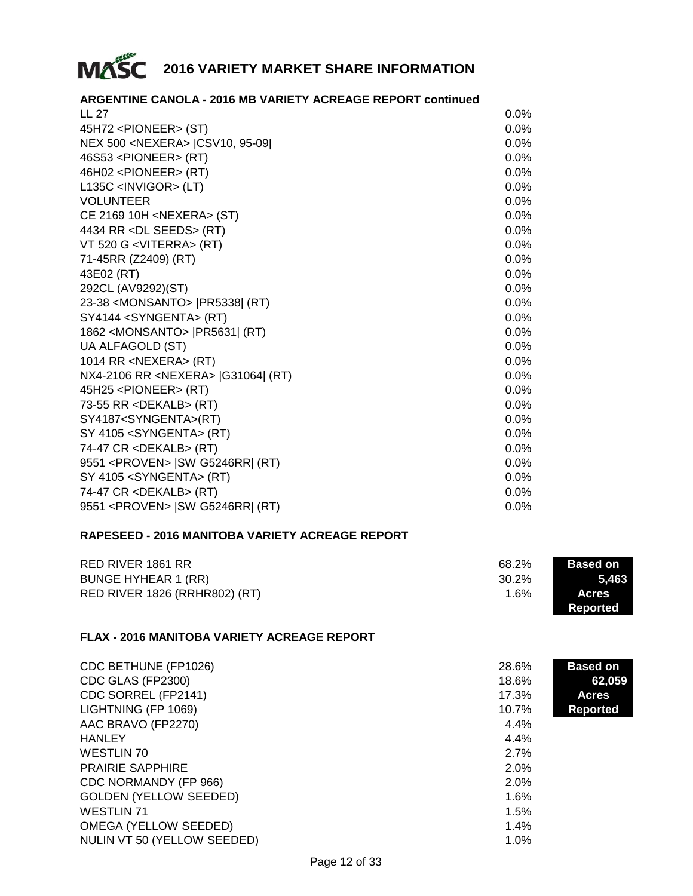

| <b>ARGENTINE CANOLA - 2016 MB VARIETY ACREAGE REPORT continued</b> |         |
|--------------------------------------------------------------------|---------|
| LL 27                                                              | $0.0\%$ |
| 45H72 <pioneer> (ST)</pioneer>                                     | 0.0%    |
| NEX 500 <nexera> (CSV10, 95-09)</nexera>                           | 0.0%    |
| 46S53 <pioneer> (RT)</pioneer>                                     | 0.0%    |
| 46H02 <pioneer> (RT)</pioneer>                                     | $0.0\%$ |
| L135C <invigor> (LT)</invigor>                                     | 0.0%    |
| <b>VOLUNTEER</b>                                                   | 0.0%    |
| CE 2169 10H <nexera> (ST)</nexera>                                 | $0.0\%$ |
| 4434 RR < DL SEEDS> (RT)                                           | 0.0%    |
| VT 520 G <viterra> (RT)</viterra>                                  | 0.0%    |
| 71-45RR (Z2409) (RT)                                               | 0.0%    |
| 43E02 (RT)                                                         | $0.0\%$ |
| 292CL (AV9292)(ST)                                                 | 0.0%    |
| 23-38 < MONSANTO >   PR5338  (RT)                                  | $0.0\%$ |
| SY4144 <syngenta> (RT)</syngenta>                                  | 0.0%    |
| 1862 < MONSANTO >   PR5631   (RT)                                  | 0.0%    |
| UA ALFAGOLD (ST)                                                   | $0.0\%$ |
| 1014 RR <nexera> (RT)</nexera>                                     | 0.0%    |
| NX4-2106 RR < NEXERA > [G31064] (RT)                               | 0.0%    |
| 45H25 <pioneer> (RT)</pioneer>                                     | $0.0\%$ |
| 73-55 RR <dekalb> (RT)</dekalb>                                    | $0.0\%$ |
| SY4187 <syngenta>(RT)</syngenta>                                   | 0.0%    |
| SY 4105 <syngenta> (RT)</syngenta>                                 | 0.0%    |
| 74-47 CR <dekalb> (RT)</dekalb>                                    | $0.0\%$ |
| 9551 <proven>   SW G5246RR  (RT)</proven>                          | $0.0\%$ |
| SY 4105 <syngenta> (RT)</syngenta>                                 | 0.0%    |
| 74-47 CR <dekalb> (RT)</dekalb>                                    | $0.0\%$ |
| 9551 <proven>   SW G5246RR  (RT)</proven>                          | 0.0%    |

#### **RAPESEED - 2016 MANITOBA VARIETY ACREAGE REPORT**

| RED RIVER 1861 RR             | 68.2%   | <b>Based on</b> |
|-------------------------------|---------|-----------------|
| <b>BUNGE HYHEAR 1 (RR)</b>    | 30.2%   | 5.463           |
| RED RIVER 1826 (RRHR802) (RT) | $1.6\%$ | <b>Acres</b>    |
|                               |         | Reported        |

#### **FLAX - 2016 MANITOBA VARIETY ACREAGE REPORT**

| CDC BETHUNE (FP1026)          | 28.6% | <b>Based on</b> |
|-------------------------------|-------|-----------------|
| CDC GLAS (FP2300)             | 18.6% | 62,059          |
| CDC SORREL (FP2141)           | 17.3% | <b>Acres</b>    |
| LIGHTNING (FP 1069)           | 10.7% | Reported        |
| AAC BRAVO (FP2270)            | 4.4%  |                 |
| <b>HANLEY</b>                 | 4.4%  |                 |
| WESTLIN 70                    | 2.7%  |                 |
| <b>PRAIRIE SAPPHIRE</b>       | 2.0%  |                 |
| CDC NORMANDY (FP 966)         | 2.0%  |                 |
| <b>GOLDEN (YELLOW SEEDED)</b> | 1.6%  |                 |
| <b>WESTLIN 71</b>             | 1.5%  |                 |
| OMEGA (YELLOW SEEDED)         | 1.4%  |                 |
| NULIN VT 50 (YELLOW SEEDED)   | 1.0%  |                 |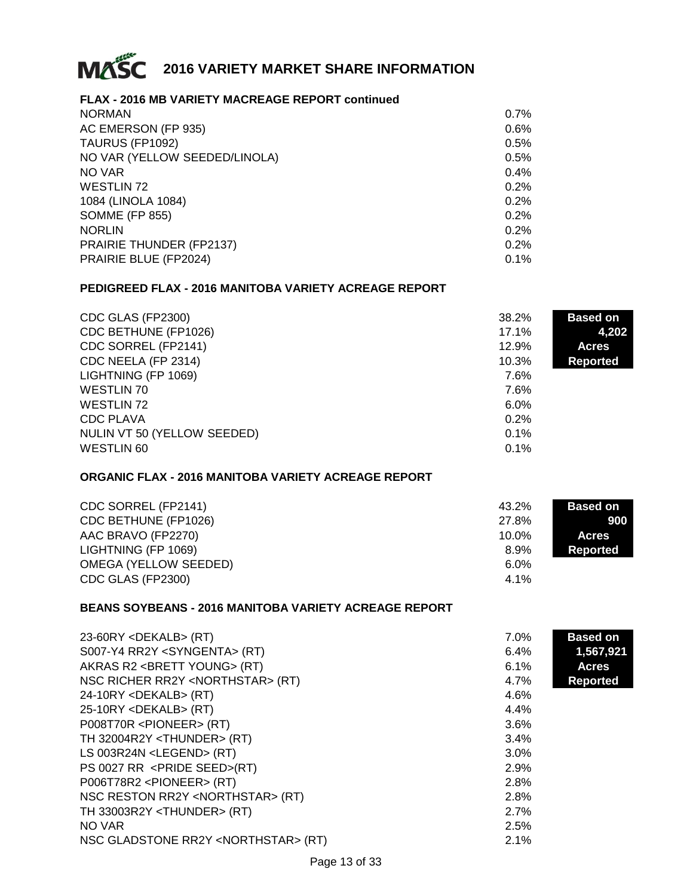

#### **FLAX - 2016 MB VARIETY MACREAGE REPORT continued**

| <b>NORMAN</b>                 | 0.7% |
|-------------------------------|------|
| AC EMERSON (FP 935)           | 0.6% |
| TAURUS (FP1092)               | 0.5% |
| NO VAR (YELLOW SEEDED/LINOLA) | 0.5% |
| NO VAR                        | 0.4% |
| <b>WESTLIN 72</b>             | 0.2% |
| 1084 (LINOLA 1084)            | 0.2% |
| <b>SOMME (FP 855)</b>         | 0.2% |
| <b>NORLIN</b>                 | 0.2% |
| PRAIRIE THUNDER (FP2137)      | 0.2% |
| PRAIRIE BLUE (FP2024)         | 0.1% |
|                               |      |

#### **PEDIGREED FLAX - 2016 MANITOBA VARIETY ACREAGE REPORT**

| CDC GLAS (FP2300)           | 38.2%    | <b>Based on</b> |
|-----------------------------|----------|-----------------|
| CDC BETHUNE (FP1026)        | $17.1\%$ | 4,202           |
| CDC SORREL (FP2141)         | 12.9%    | <b>Acres</b>    |
| CDC NEELA (FP 2314)         | 10.3%    | <b>Reported</b> |
| LIGHTNING (FP 1069)         | 7.6%     |                 |
| <b>WESTLIN 70</b>           | 7.6%     |                 |
| WESTLIN 72                  | 6.0%     |                 |
| CDC PLAVA                   | 0.2%     |                 |
| NULIN VT 50 (YELLOW SEEDED) | $0.1\%$  |                 |
| <b>WESTLIN 60</b>           | 0.1%     |                 |

#### **ORGANIC FLAX - 2016 MANITOBA VARIETY ACREAGE REPORT**

| CDC SORREL (FP2141)          | 43.2%    | <b>Based on</b> |
|------------------------------|----------|-----------------|
| CDC BETHUNE (FP1026)         | 27.8%    | 900             |
| AAC BRAVO (FP2270)           | $10.0\%$ | <b>Acres</b>    |
| LIGHTNING (FP 1069)          | 8.9%     | Reported        |
| <b>OMEGA (YELLOW SEEDED)</b> | $6.0\%$  |                 |
| CDC GLAS (FP2300)            | 4.1%     |                 |

#### **BEANS SOYBEANS - 2016 MANITOBA VARIETY ACREAGE REPORT**

| $23-60RY <$ DEKALB> (RT)                        | 7.0% | <b>Based on</b> |
|-------------------------------------------------|------|-----------------|
| S007-Y4 RR2Y <syngenta> (RT)</syngenta>         | 6.4% | 1,567,921       |
| AKRAS R2 <brett young=""> (RT)</brett>          | 6.1% | <b>Acres</b>    |
| NSC RICHER RR2Y <northstar> (RT)</northstar>    | 4.7% | <b>Reported</b> |
| $24-10RY <$ DEKALB> (RT)                        | 4.6% |                 |
| $25-10RY <$ DEKALB> (RT)                        | 4.4% |                 |
| P008T70R <pioneer> (RT)</pioneer>               | 3.6% |                 |
| TH 32004R2Y <thunder> (RT)</thunder>            | 3.4% |                 |
| LS 003R24N <legend> (RT)</legend>               | 3.0% |                 |
| PS 0027 RR <pride seed="">(RT)</pride>          | 2.9% |                 |
| P006T78R2 <pioneer> (RT)</pioneer>              | 2.8% |                 |
| NSC RESTON RR2Y <northstar> (RT)</northstar>    | 2.8% |                 |
| TH 33003R2Y <thunder> (RT)</thunder>            | 2.7% |                 |
| NO VAR                                          | 2.5% |                 |
| NSC GLADSTONE RR2Y <northstar> (RT)</northstar> | 2.1% |                 |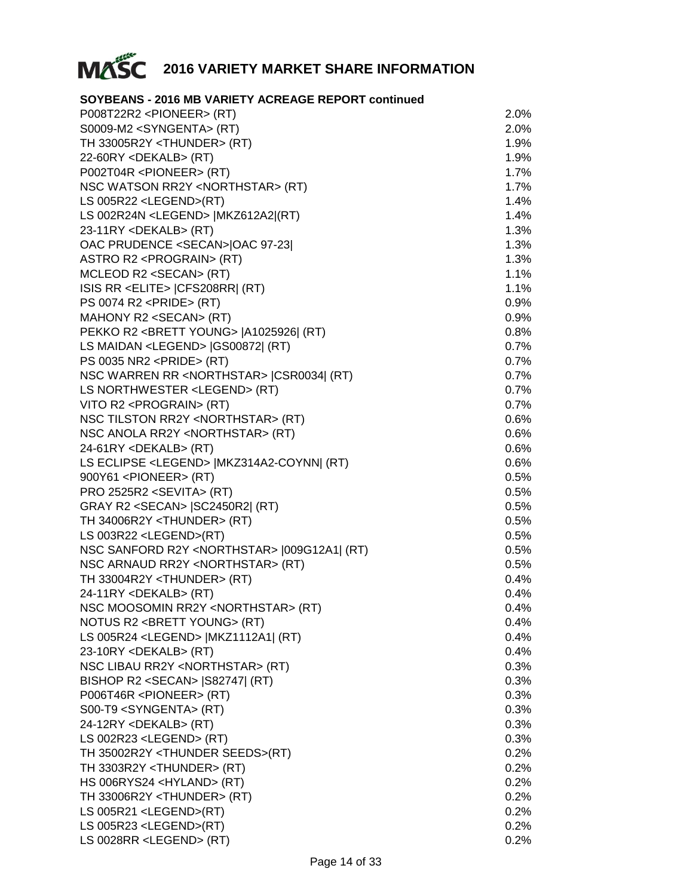

#### **SOYBEANS - 2016 MB VARIETY ACREAGE REPORT continued**

| P008T22R2 <pioneer> (RT)</pioneer>                      | 2.0%    |
|---------------------------------------------------------|---------|
| S0009-M2 <syngenta> (RT)</syngenta>                     | 2.0%    |
| TH 33005R2Y <thunder> (RT)</thunder>                    | 1.9%    |
| 22-60RY <dekalb> (RT)</dekalb>                          | 1.9%    |
| P002T04R <pioneer> (RT)</pioneer>                       | 1.7%    |
| NSC WATSON RR2Y <northstar> (RT)</northstar>            | 1.7%    |
| LS 005R22 <legend>(RT)</legend>                         | 1.4%    |
| LS 002R24N <legend>  MKZ612A2 (RT)</legend>             | 1.4%    |
| 23-11RY <dekalb> (RT)</dekalb>                          | 1.3%    |
| OAC PRUDENCE <secan> OAC 97-23 </secan>                 | 1.3%    |
| ASTRO R2 <prograin> (RT)</prograin>                     | 1.3%    |
| MCLEOD R2 <secan> (RT)</secan>                          | 1.1%    |
| ISIS RR <elite>   CFS208RR  (RT)</elite>                | 1.1%    |
| PS 0074 R2 <pride> (RT)</pride>                         | $0.9\%$ |
| MAHONY R2 <secan> (RT)</secan>                          | 0.9%    |
| PEKKO R2 <brett young="">  A1025926  (RT)</brett>       | 0.8%    |
| LS MAIDAN <legend> [GS00872] (RT)</legend>              | 0.7%    |
| PS 0035 NR2 <pride> (RT)</pride>                        | 0.7%    |
| NSC WARREN RR <northstar>  CSR0034  (RT)</northstar>    | 0.7%    |
| LS NORTHWESTER <legend> (RT)</legend>                   | 0.7%    |
| VITO R2 <prograin> (RT)</prograin>                      | 0.7%    |
| NSC TILSTON RR2Y <northstar> (RT)</northstar>           | 0.6%    |
| NSC ANOLA RR2Y <northstar> (RT)</northstar>             | 0.6%    |
| 24-61RY <dekalb> (RT)</dekalb>                          | 0.6%    |
| LS ECLIPSE <legend>   MKZ314A2-COYNN   (RT)</legend>    | 0.6%    |
| 900Y61 <pioneer> (RT)</pioneer>                         | 0.5%    |
| PRO 2525R2 <sevita> (RT)</sevita>                       | 0.5%    |
| GRAY R2 <secan>  SC2450R2  (RT)</secan>                 | 0.5%    |
| TH 34006R2Y <thunder> (RT)</thunder>                    | 0.5%    |
| LS 003R22 <legend>(RT)</legend>                         | 0.5%    |
| NSC SANFORD R2Y <northstar>  009G12A1  (RT)</northstar> | 0.5%    |
| NSC ARNAUD RR2Y <northstar> (RT)</northstar>            | 0.5%    |
| TH 33004R2Y <thunder> (RT)</thunder>                    | 0.4%    |
| 24-11RY <dekalb> (RT)</dekalb>                          | $0.4\%$ |
| NSC MOOSOMIN RR2Y <northstar> (RT)</northstar>          | 0.4%    |
| NOTUS R2 <brett young=""> (RT)</brett>                  | $0.4\%$ |
| LS 005R24 <legend>  MKZ1112A1  (RT)</legend>            | 0.4%    |
| 23-10RY <dekalb> (RT)</dekalb>                          | 0.4%    |
| NSC LIBAU RR2Y <northstar> (RT)</northstar>             | 0.3%    |
| BISHOP R2 <secan>  S82747  (RT)</secan>                 | 0.3%    |
| P006T46R <pioneer> (RT)</pioneer>                       | 0.3%    |
| S00-T9 <syngenta> (RT)</syngenta>                       | 0.3%    |
| 24-12RY <dekalb> (RT)</dekalb>                          | 0.3%    |
| LS 002R23 <legend> (RT)</legend>                        | 0.3%    |
| TH 35002R2Y <thunder seeds="">(RT)</thunder>            | 0.2%    |
| TH 3303R2Y <thunder> (RT)</thunder>                     | 0.2%    |
| HS 006RYS24 <hyland> (RT)</hyland>                      | 0.2%    |
| TH 33006R2Y <thunder> (RT)</thunder>                    | 0.2%    |
| LS 005R21 <legend>(RT)</legend>                         | 0.2%    |
| LS 005R23 <legend>(RT)</legend>                         | 0.2%    |
| LS 0028RR <legend> (RT)</legend>                        | 0.2%    |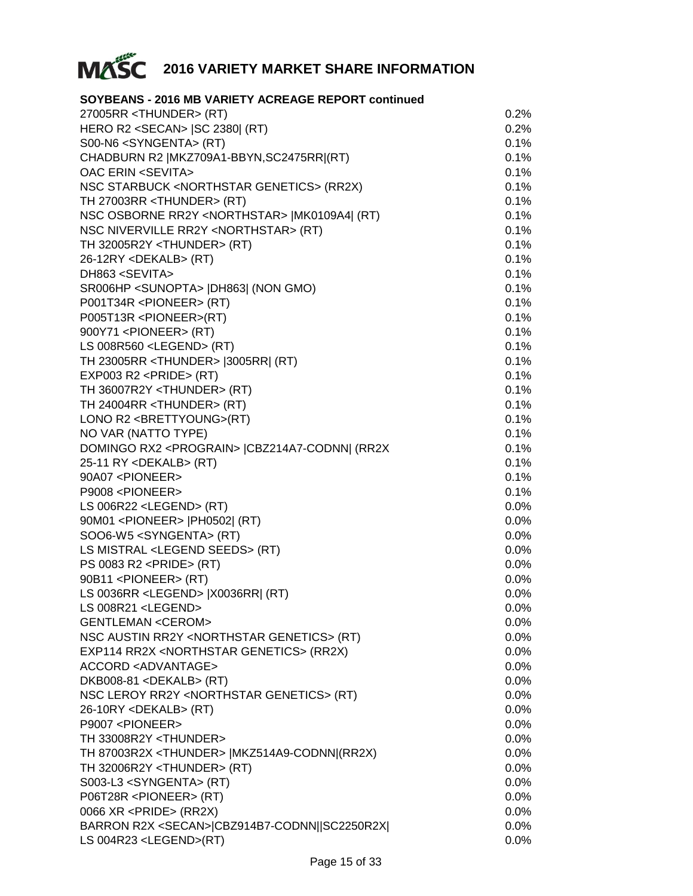

| SOYBEANS - 2016 MB VARIETY ACREAGE REPORT continued      |         |
|----------------------------------------------------------|---------|
| 27005RR <thunder> (RT)</thunder>                         | 0.2%    |
| HERO R2 <secan>   SC 2380  (RT)</secan>                  | 0.2%    |
| S00-N6 <syngenta> (RT)</syngenta>                        | 0.1%    |
| CHADBURN R2   MKZ709A1-BBYN, SC2475RR  (RT)              | 0.1%    |
| <b>OAC ERIN <sevita></sevita></b>                        | 0.1%    |
| NSC STARBUCK <northstar genetics=""> (RR2X)</northstar>  | 0.1%    |
| TH 27003RR <thunder> (RT)</thunder>                      | 0.1%    |
| NSC OSBORNE RR2Y <northstar>  MK0109A4  (RT)</northstar> | 0.1%    |
| NSC NIVERVILLE RR2Y <northstar> (RT)</northstar>         | 0.1%    |
| TH 32005R2Y <thunder> (RT)</thunder>                     | 0.1%    |
| 26-12RY <dekalb> (RT)</dekalb>                           | 0.1%    |
| DH863 <sevita></sevita>                                  | 0.1%    |
| SR006HP <sunopta>  DH863  (NON GMO)</sunopta>            | 0.1%    |
| P001T34R <pioneer> (RT)</pioneer>                        | 0.1%    |
| P005T13R <pioneer>(RT)</pioneer>                         | 0.1%    |
| 900Y71 <pioneer> (RT)</pioneer>                          | 0.1%    |
| LS 008R560 <legend> (RT)</legend>                        | 0.1%    |
| TH 23005RR <thunder>  3005RR  (RT)</thunder>             | 0.1%    |
| EXP003 R2 <pride> (RT)</pride>                           | 0.1%    |
| TH 36007R2Y <thunder> (RT)</thunder>                     | 0.1%    |
| TH 24004RR <thunder> (RT)</thunder>                      | 0.1%    |
| LONO R2 <brettyoung>(RT)</brettyoung>                    | 0.1%    |
| NO VAR (NATTO TYPE)                                      | 0.1%    |
| DOMINGO RX2 <prograin>  CBZ214A7-CODNN  (RR2X</prograin> | 0.1%    |
| 25-11 RY <dekalb> (RT)</dekalb>                          | 0.1%    |
| 90A07 <pioneer></pioneer>                                | 0.1%    |
| P9008 <pioneer></pioneer>                                | 0.1%    |
| LS 006R22 <legend> (RT)</legend>                         | $0.0\%$ |
| 90M01 <pioneer>  PH0502  (RT)</pioneer>                  | $0.0\%$ |
| SOO6-W5 <syngenta> (RT)</syngenta>                       | $0.0\%$ |
| LS MISTRAL <legend seeds=""> (RT)</legend>               | $0.0\%$ |
| PS 0083 R2 <pride> (RT)</pride>                          | 0.0%    |
| 90B11 <pioneer> (RT)</pioneer>                           | $0.0\%$ |
| LS 0036RR <legend>  X0036RR  (RT)</legend>               | $0.0\%$ |
| $LS$ 008R21 <legend></legend>                            | $0.0\%$ |
| <b>GENTLEMAN <cerom></cerom></b>                         | $0.0\%$ |
| NSC AUSTIN RR2Y <northstar genetics=""> (RT)</northstar> | $0.0\%$ |
| EXP114 RR2X <northstar genetics=""> (RR2X)</northstar>   | $0.0\%$ |
| <b>ACCORD <advantage></advantage></b>                    | $0.0\%$ |
| DKB008-81 <dekalb> (RT)</dekalb>                         | $0.0\%$ |
| NSC LEROY RR2Y <northstar genetics=""> (RT)</northstar>  | $0.0\%$ |
| 26-10RY <dekalb> (RT)</dekalb>                           | $0.0\%$ |
| P9007 <pioneer></pioneer>                                | $0.0\%$ |
| TH 33008R2Y <thunder></thunder>                          | $0.0\%$ |
| TH 87003R2X <thunder>   MKZ514A9-CODNN (RR2X)</thunder>  | $0.0\%$ |
| TH 32006R2Y <thunder> (RT)</thunder>                     | $0.0\%$ |
| S003-L3 <syngenta> (RT)</syngenta>                       | $0.0\%$ |
| P06T28R <pioneer> (RT)</pioneer>                         | $0.0\%$ |
| 0066 XR <pride> (RR2X)</pride>                           | $0.0\%$ |
| BARRON R2X <secan> CBZ914B7-CODNN  SC2250R2X </secan>    | $0.0\%$ |
| LS 004R23 <legend>(RT)</legend>                          | $0.0\%$ |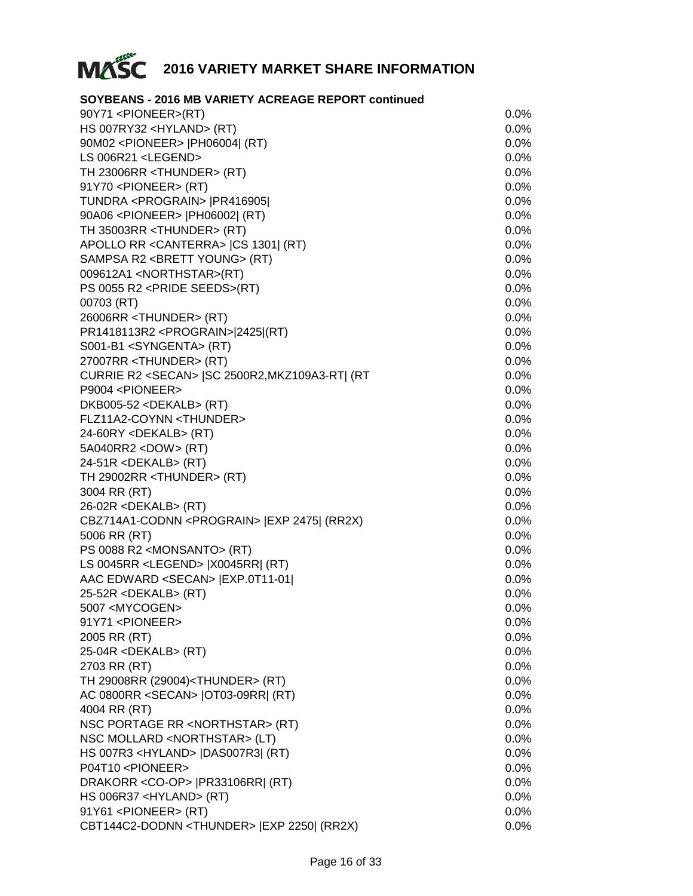

#### **SOYBEANS - 2016 MB VARIETY ACREAGE REPORT continued**

| 90Y71 <pioneer>(RT)</pioneer>                            | $0.0\%$ |
|----------------------------------------------------------|---------|
| HS 007RY32 <hyland> (RT)</hyland>                        | 0.0%    |
| 90M02 <pioneer>  PH06004  (RT)</pioneer>                 | $0.0\%$ |
| LS 006R21 <legend></legend>                              | 0.0%    |
| TH 23006RR <thunder> (RT)</thunder>                      | 0.0%    |
| 91Y70 <pioneer> (RT)</pioneer>                           | $0.0\%$ |
| TUNDRA <prograin>   PR416905 </prograin>                 | $0.0\%$ |
| 90A06 <pioneer>  PH06002  (RT)</pioneer>                 | $0.0\%$ |
| TH 35003RR <thunder> (RT)</thunder>                      | 0.0%    |
| APOLLO RR < CANTERRA> (CS 1301) (RT)                     | 0.0%    |
| SAMPSA R2 <brett young=""> (RT)</brett>                  | 0.0%    |
| 009612A1 <northstar>(RT)</northstar>                     | 0.0%    |
| PS 0055 R2 <pride seeds="">(RT)</pride>                  | $0.0\%$ |
| 00703 (RT)                                               | 0.0%    |
| 26006RR <thunder> (RT)</thunder>                         | 0.0%    |
| PR1418113R2 <prograin> 2425 (RT)</prograin>              | $0.0\%$ |
| S001-B1 <syngenta> (RT)</syngenta>                       | $0.0\%$ |
| 27007RR <thunder> (RT)</thunder>                         | $0.0\%$ |
| CURRIE R2 <secan>   SC 2500R2, MKZ109A3-RT   (RT</secan> | 0.0%    |
| P9004 <pioneer></pioneer>                                | 0.0%    |
| DKB005-52 <dekalb> (RT)</dekalb>                         | 0.0%    |
| FLZ11A2-COYNN <thunder></thunder>                        | $0.0\%$ |
| 24-60RY <dekalb> (RT)</dekalb>                           | $0.0\%$ |
| 5A040RR2 <dow> (RT)</dow>                                | 0.0%    |
| 24-51R <dekalb> (RT)</dekalb>                            | 0.0%    |
| TH 29002RR <thunder> (RT)</thunder>                      | $0.0\%$ |
| 3004 RR (RT)                                             | $0.0\%$ |
| 26-02R <dekalb> (RT)</dekalb>                            | $0.0\%$ |
| CBZ714A1-CODNN <prograin>   EXP 2475  (RR2X)</prograin>  | 0.0%    |
| 5006 RR (RT)                                             | 0.0%    |
| PS 0088 R2 <monsanto> (RT)</monsanto>                    | 0.0%    |
| LS 0045RR <legend>  X0045RR  (RT)</legend>               | 0.0%    |
| AAC EDWARD <secan>   EXP.0T11-01 </secan>                | $0.0\%$ |
| 25-52R <dekalb> (RT)</dekalb>                            | $0.0\%$ |
| 5007 <mycogen></mycogen>                                 | $0.0\%$ |
| 91Y71 <pioneer></pioneer>                                | 0.0%    |
| 2005 RR (RT)                                             | $0.0\%$ |
| 25-04R <dekalb> (RT)</dekalb>                            | $0.0\%$ |
| 2703 RR (RT)                                             | $0.0\%$ |
| TH 29008RR (29004) <thunder> (RT)</thunder>              | 0.0%    |
| AC 0800RR <secan>   OT03-09RR  (RT)</secan>              | 0.0%    |
| 4004 RR (RT)                                             | 0.0%    |
| NSC PORTAGE RR <northstar> (RT)</northstar>              | $0.0\%$ |
| NSC MOLLARD <northstar> (LT)</northstar>                 | $0.0\%$ |
| HS 007R3 <hyland>  DAS007R3  (RT)</hyland>               | 0.0%    |
| P04T10 <pioneer></pioneer>                               | $0.0\%$ |
| DRAKORR <co-op>   PR33106RR  (RT)</co-op>                | $0.0\%$ |
| HS 006R37 <hyland> (RT)</hyland>                         | $0.0\%$ |
| 91Y61 <pioneer> (RT)</pioneer>                           | $0.0\%$ |
| CBT144C2-DODNN <thunder>   EXP 2250  (RR2X)</thunder>    | $0.0\%$ |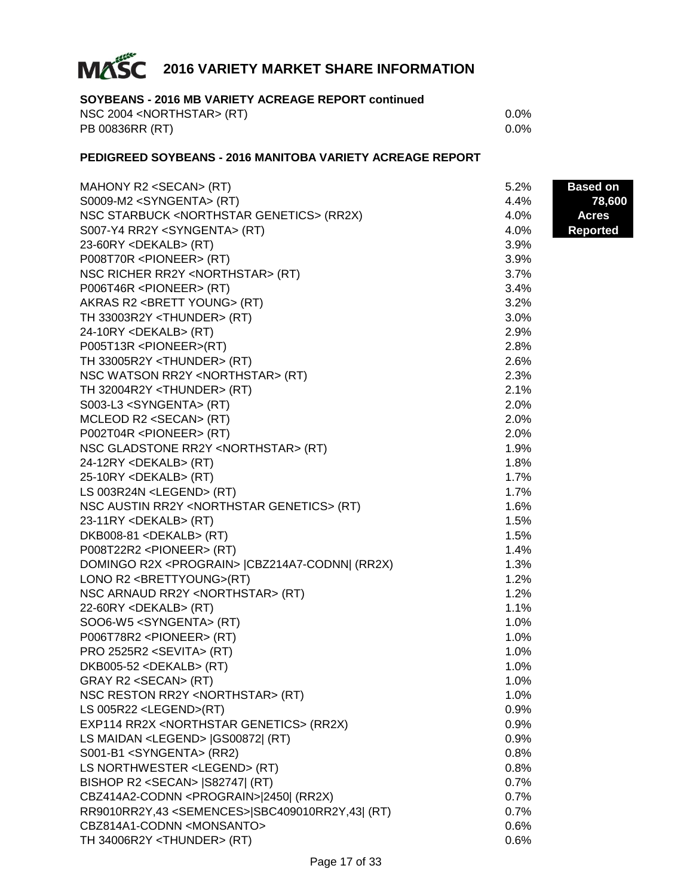

#### **SOYBEANS - 2016 MB VARIETY ACREAGE REPORT continued**

| NSC 2004 <northstar> (RT)</northstar> | 0.0%    |
|---------------------------------------|---------|
| PB 00836RR (RT)                       | $0.0\%$ |

#### **PEDIGREED SOYBEANS - 2016 MANITOBA VARIETY ACREAGE REPORT**

| MAHONY R2 <secan> (RT)</secan>                             | 5.2% | <b>Based on</b> |
|------------------------------------------------------------|------|-----------------|
| S0009-M2 <syngenta> (RT)</syngenta>                        | 4.4% | 78,600          |
| NSC STARBUCK <northstar genetics=""> (RR2X)</northstar>    | 4.0% | <b>Acres</b>    |
| S007-Y4 RR2Y <syngenta> (RT)</syngenta>                    | 4.0% | <b>Reported</b> |
| 23-60RY <dekalb> (RT)</dekalb>                             | 3.9% |                 |
| P008T70R <pioneer> (RT)</pioneer>                          | 3.9% |                 |
| NSC RICHER RR2Y <northstar> (RT)</northstar>               | 3.7% |                 |
| P006T46R <pioneer> (RT)</pioneer>                          | 3.4% |                 |
| AKRAS R2 <brett young=""> (RT)</brett>                     | 3.2% |                 |
| TH 33003R2Y <thunder> (RT)</thunder>                       | 3.0% |                 |
| 24-10RY <dekalb> (RT)</dekalb>                             | 2.9% |                 |
| P005T13R <pioneer>(RT)</pioneer>                           | 2.8% |                 |
| TH 33005R2Y <thunder> (RT)</thunder>                       | 2.6% |                 |
| NSC WATSON RR2Y <northstar> (RT)</northstar>               | 2.3% |                 |
| TH 32004R2Y <thunder> (RT)</thunder>                       | 2.1% |                 |
| S003-L3 <syngenta> (RT)</syngenta>                         | 2.0% |                 |
| MCLEOD R2 <secan> (RT)</secan>                             | 2.0% |                 |
| P002T04R <pioneer> (RT)</pioneer>                          | 2.0% |                 |
| NSC GLADSTONE RR2Y <northstar> (RT)</northstar>            | 1.9% |                 |
| 24-12RY <dekalb> (RT)</dekalb>                             | 1.8% |                 |
| 25-10RY <dekalb> (RT)</dekalb>                             | 1.7% |                 |
| LS 003R24N <legend> (RT)</legend>                          | 1.7% |                 |
| NSC AUSTIN RR2Y <northstar genetics=""> (RT)</northstar>   | 1.6% |                 |
| 23-11RY <dekalb> (RT)</dekalb>                             | 1.5% |                 |
| DKB008-81 <dekalb> (RT)</dekalb>                           | 1.5% |                 |
| P008T22R2 <pioneer> (RT)</pioneer>                         | 1.4% |                 |
| DOMINGO R2X <prograin>  CBZ214A7-CODNN  (RR2X)</prograin>  | 1.3% |                 |
| LONO R2 <brettyoung>(RT)</brettyoung>                      | 1.2% |                 |
| NSC ARNAUD RR2Y <northstar> (RT)</northstar>               | 1.2% |                 |
| 22-60RY <dekalb> (RT)</dekalb>                             | 1.1% |                 |
| SOO6-W5 <syngenta> (RT)</syngenta>                         | 1.0% |                 |
| P006T78R2 <pioneer> (RT)</pioneer>                         | 1.0% |                 |
| PRO 2525R2 <sevita> (RT)</sevita>                          | 1.0% |                 |
| DKB005-52 <dekalb> (RT)</dekalb>                           | 1.0% |                 |
| GRAY R2 <secan> (RT)</secan>                               | 1.0% |                 |
| NSC RESTON RR2Y <northstar> (RT)</northstar>               | 1.0% |                 |
| LS 005R22 <legend>(RT)</legend>                            | 0.9% |                 |
| EXP114 RR2X <northstar genetics=""> (RR2X)</northstar>     | 0.9% |                 |
| LS MAIDAN <legend> [GS00872] (RT)</legend>                 | 0.9% |                 |
| S001-B1 <syngenta> (RR2)</syngenta>                        | 0.8% |                 |
| LS NORTHWESTER <legend> (RT)</legend>                      | 0.8% |                 |
| BISHOP R2 <secan>   S82747  (RT)</secan>                   | 0.7% |                 |
| CBZ414A2-CODNN <prograin> 2450  (RR2X)</prograin>          | 0.7% |                 |
| RR9010RR2Y,43 <semences> SBC409010RR2Y,43  (RT)</semences> | 0.7% |                 |
| CBZ814A1-CODNN <monsanto></monsanto>                       | 0.6% |                 |
| TH 34006R2Y <thunder> (RT)</thunder>                       | 0.6% |                 |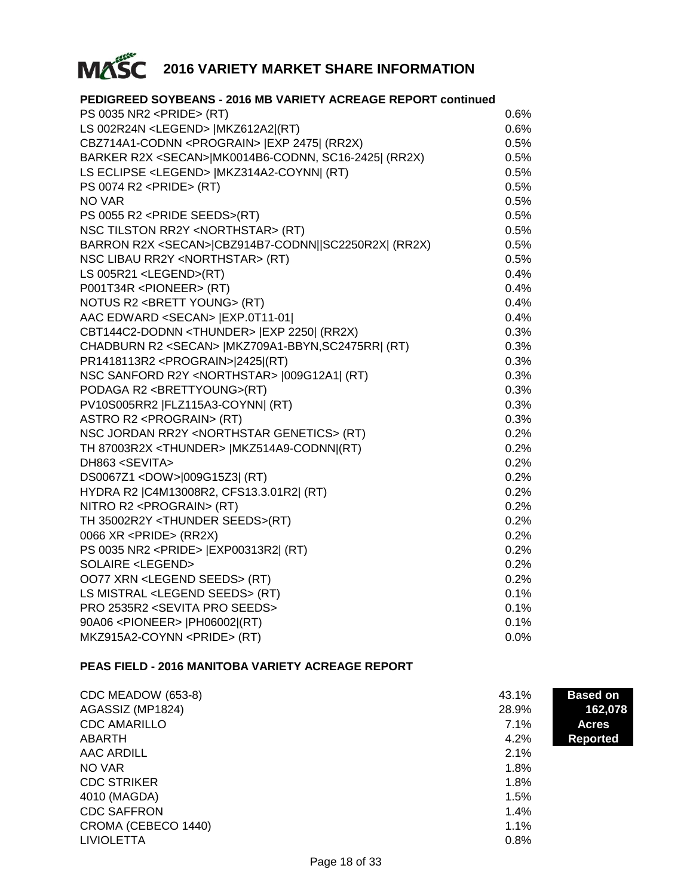

| PEDIGREED SOYBEANS - 2016 MB VARIETY ACREAGE REPORT continued |         |
|---------------------------------------------------------------|---------|
| PS 0035 NR2 <pride> (RT)</pride>                              | $0.6\%$ |
| LS 002R24N <legend>  MKZ612A2 (RT)</legend>                   | 0.6%    |
| CBZ714A1-CODNN <prograin>   EXP 2475  (RR2X)</prograin>       | 0.5%    |
| BARKER R2X <secan> MK0014B6-CODNN, SC16-2425  (RR2X)</secan>  | 0.5%    |
| LS ECLIPSE <legend>   MKZ314A2-COYNN  (RT)</legend>           | 0.5%    |
| PS 0074 R2 <pride> (RT)</pride>                               | 0.5%    |
| NO VAR                                                        | 0.5%    |
| PS 0055 R2 <pride seeds="">(RT)</pride>                       | 0.5%    |
| NSC TILSTON RR2Y <northstar> (RT)</northstar>                 | 0.5%    |
| BARRON R2X <secan> CBZ914B7-CODNN  SC2250R2X  (RR2X)</secan>  | 0.5%    |
| NSC LIBAU RR2Y <northstar> (RT)</northstar>                   | 0.5%    |
| LS 005R21 <legend>(RT)</legend>                               | 0.4%    |
| P001T34R <pioneer> (RT)</pioneer>                             | 0.4%    |
| NOTUS R2 <brett young=""> (RT)</brett>                        | 0.4%    |
| AAC EDWARD <secan>   EXP.0T11-01 </secan>                     | 0.4%    |
| CBT144C2-DODNN <thunder>   EXP 2250  (RR2X)</thunder>         | 0.3%    |
| CHADBURN R2 <secan>   MKZ709A1-BBYN, SC2475RR  (RT)</secan>   | 0.3%    |
| PR1418113R2 <prograin> 2425 (RT)</prograin>                   | 0.3%    |
| NSC SANFORD R2Y <northstar>  009G12A1  (RT)</northstar>       | 0.3%    |
| PODAGA R2 <brettyoung>(RT)</brettyoung>                       | 0.3%    |
| PV10S005RR2  FLZ115A3-COYNN  (RT)                             | 0.3%    |
| ASTRO R2 <prograin> (RT)</prograin>                           | 0.3%    |
| NSC JORDAN RR2Y <northstar genetics=""> (RT)</northstar>      | 0.2%    |
| TH 87003R2X <thunder>   MKZ514A9-CODNN (RT)</thunder>         | 0.2%    |
| DH863 <sevita></sevita>                                       | 0.2%    |
| DS0067Z1 <dow> 009G15Z3  (RT)</dow>                           | 0.2%    |
| HYDRA R2   C4M13008R2, CFS13.3.01R2  (RT)                     | 0.2%    |
| NITRO R2 <prograin> (RT)</prograin>                           | 0.2%    |
| TH 35002R2Y <thunder seeds="">(RT)</thunder>                  | 0.2%    |
| 0066 XR <pride> (RR2X)</pride>                                | 0.2%    |
| PS 0035 NR2 <pride> [EXP00313R2] (RT)</pride>                 | 0.2%    |
| SOLAIRE <legend></legend>                                     | 0.2%    |
| OO77 XRN <legend seeds=""> (RT)</legend>                      | 0.2%    |
| LS MISTRAL <legend seeds=""> (RT)</legend>                    | 0.1%    |
| PRO 2535R2 <sevita pro="" seeds=""></sevita>                  | 0.1%    |
| 90A06 <pioneer>  PH06002 (RT)</pioneer>                       | 0.1%    |
| MKZ915A2-COYNN <pride> (RT)</pride>                           | 0.0%    |

#### **PEAS FIELD - 2016 MANITOBA VARIETY ACREAGE REPORT**

| CDC MEADOW (653-8)  | 43.1% | <b>Based on</b> |
|---------------------|-------|-----------------|
| AGASSIZ (MP1824)    | 28.9% | 162,078         |
| <b>CDC AMARILLO</b> | 7.1%  | <b>Acres</b>    |
| ABARTH              | 4.2%  | <b>Reported</b> |
| AAC ARDILL          | 2.1%  |                 |
| NO VAR              | 1.8%  |                 |
| <b>CDC STRIKER</b>  | 1.8%  |                 |
| 4010 (MAGDA)        | 1.5%  |                 |
| <b>CDC SAFFRON</b>  | 1.4%  |                 |
| CROMA (CEBECO 1440) | 1.1%  |                 |
| <b>LIVIOLETTA</b>   | 0.8%  |                 |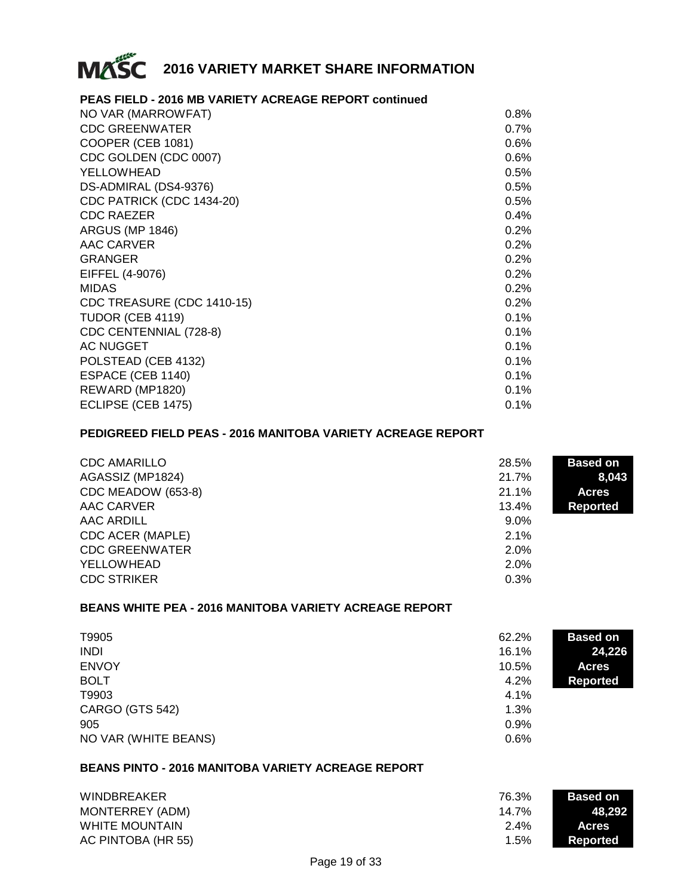

#### **PEAS FIELD - 2016 MB VARIETY ACREAGE REPORT continued**

| NO VAR (MARROWFAT)         | $0.8\%$ |
|----------------------------|---------|
| <b>CDC GREENWATER</b>      | 0.7%    |
| COOPER (CEB 1081)          | $0.6\%$ |
| CDC GOLDEN (CDC 0007)      | 0.6%    |
| YELLOWHEAD                 | 0.5%    |
| DS-ADMIRAL (DS4-9376)      | 0.5%    |
| CDC PATRICK (CDC 1434-20)  | 0.5%    |
| <b>CDC RAEZER</b>          | 0.4%    |
| <b>ARGUS (MP 1846)</b>     | 0.2%    |
| AAC CARVER                 | 0.2%    |
| <b>GRANGER</b>             | 0.2%    |
| EIFFEL (4-9076)            | 0.2%    |
| <b>MIDAS</b>               | 0.2%    |
| CDC TREASURE (CDC 1410-15) | 0.2%    |
| TUDOR (CEB 4119)           | 0.1%    |
| CDC CENTENNIAL (728-8)     | 0.1%    |
| <b>AC NUGGET</b>           | 0.1%    |
| POLSTEAD (CEB 4132)        | 0.1%    |
| ESPACE (CEB 1140)          | 0.1%    |
| REWARD (MP1820)            | 0.1%    |
| ECLIPSE (CEB 1475)         | 0.1%    |
|                            |         |

#### **PEDIGREED FIELD PEAS - 2016 MANITOBA VARIETY ACREAGE REPORT**

| <b>CDC AMARILLO</b>   | 28.5%   | <b>Based on</b> |
|-----------------------|---------|-----------------|
| AGASSIZ (MP1824)      | 21.7%   | 8,043           |
| CDC MEADOW (653-8)    | 21.1%   | <b>Acres</b>    |
| AAC CARVER            | 13.4%   | <b>Reported</b> |
| AAC ARDILL            | $9.0\%$ |                 |
| CDC ACER (MAPLE)      | 2.1%    |                 |
| <b>CDC GREENWATER</b> | 2.0%    |                 |
| YELLOWHEAD            | 2.0%    |                 |
| <b>CDC STRIKER</b>    | 0.3%    |                 |

#### **BEANS WHITE PEA - 2016 MANITOBA VARIETY ACREAGE REPORT**

| T9905                | 62.2% | <b>Based on</b> |
|----------------------|-------|-----------------|
| <b>INDI</b>          | 16.1% | 24,226          |
| <b>ENVOY</b>         | 10.5% | <b>Acres</b>    |
| <b>BOLT</b>          | 4.2%  | <b>Reported</b> |
| T9903                | 4.1%  |                 |
| CARGO (GTS 542)      | 1.3%  |                 |
| 905                  | 0.9%  |                 |
| NO VAR (WHITE BEANS) | 0.6%  |                 |

#### **BEANS PINTO - 2016 MANITOBA VARIETY ACREAGE REPORT**

| <b>WINDBREAKER</b>    | 76.3%   | <b>Based on</b> |
|-----------------------|---------|-----------------|
| MONTERREY (ADM)       | 14.7%   | 48.292          |
| <b>WHITE MOUNTAIN</b> | $2.4\%$ | <b>Acres</b>    |
| AC PINTOBA (HR 55)    | 1.5%    | Reported        |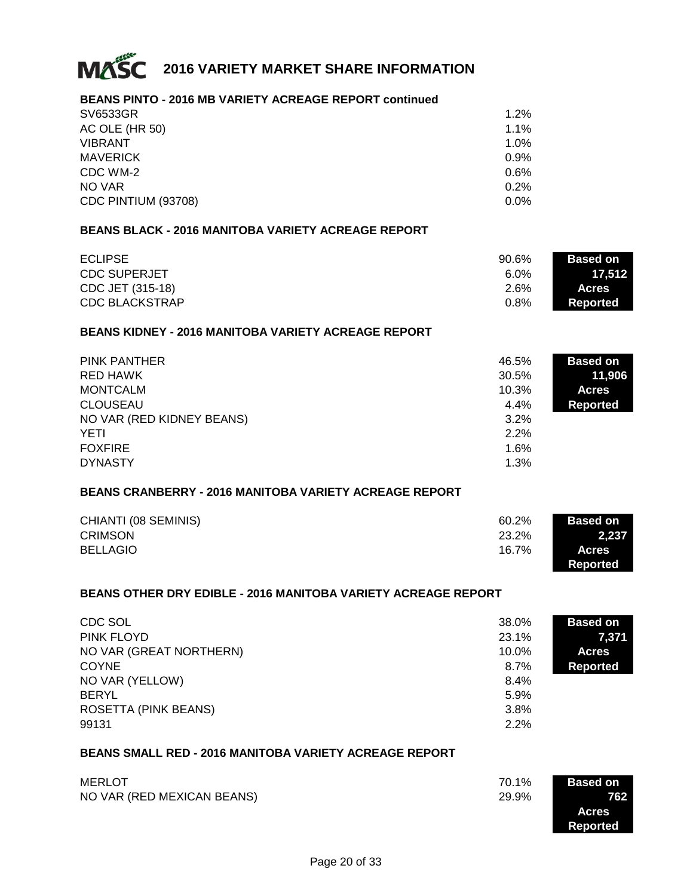

#### **BEANS PINTO - 2016 MB VARIETY ACREAGE REPORT continued**

| SV6533GR            | 1.2%    |
|---------------------|---------|
| AC OLE (HR 50)      | 1.1%    |
| <b>VIBRANT</b>      | 1.0%    |
| <b>MAVERICK</b>     | 0.9%    |
| CDC WM-2            | 0.6%    |
| NO VAR              | 0.2%    |
| CDC PINTIUM (93708) | $0.0\%$ |

#### **BEANS BLACK - 2016 MANITOBA VARIETY ACREAGE REPORT**

| <b>ECLIPSE</b>      | $90.6\%$ | <b>Based on</b> |
|---------------------|----------|-----------------|
| <b>CDC SUPERJET</b> | $6.0\%$  | 17.512          |
| CDC JET (315-18)    | 2.6%     | <b>Acres</b>    |
| CDC BLACKSTRAP      | 0.8%     | Reported        |

#### **BEANS KIDNEY - 2016 MANITOBA VARIETY ACREAGE REPORT**

| <b>PINK PANTHER</b>       | 46.5% | <b>Based on</b> |
|---------------------------|-------|-----------------|
| RED HAWK                  | 30.5% | 11,906          |
| MONTCALM                  | 10.3% | <b>Acres</b>    |
| <b>CLOUSEAU</b>           | 4.4%  | <b>Reported</b> |
| NO VAR (RED KIDNEY BEANS) | 3.2%  |                 |
| YETI                      | 2.2%  |                 |
| <b>FOXFIRE</b>            | 1.6%  |                 |
| <b>DYNASTY</b>            | 1.3%  |                 |

#### **BEANS CRANBERRY - 2016 MANITOBA VARIETY ACREAGE REPORT**

| CHIANTI (08 SEMINIS) | 60.2% | <b>Based on</b> |
|----------------------|-------|-----------------|
| <b>CRIMSON</b>       | 23.2% | 2.237           |
| <b>BELLAGIO</b>      | 16.7% | <b>Acres</b>    |
|                      |       | Reported        |

#### **BEANS OTHER DRY EDIBLE - 2016 MANITOBA VARIETY ACREAGE REPORT**

| CDC SOL                 | 38.0%    | <b>Based on</b> |
|-------------------------|----------|-----------------|
| PINK FLOYD              | 23.1%    | 7,371           |
| NO VAR (GREAT NORTHERN) | $10.0\%$ | <b>Acres</b>    |
| <b>COYNE</b>            | 8.7%     | <b>Reported</b> |
| NO VAR (YELLOW)         | 8.4%     |                 |
| <b>BERYL</b>            | 5.9%     |                 |
| ROSETTA (PINK BEANS)    | 3.8%     |                 |
| 99131                   | 2.2%     |                 |

#### **BEANS SMALL RED - 2016 MANITOBA VARIETY ACREAGE REPORT**

| MERLOT                     | 70.1% | <b>Based on</b> |
|----------------------------|-------|-----------------|
| NO VAR (RED MEXICAN BEANS) | 29.9% | 762             |
|                            |       | <b>Acres</b>    |
|                            |       | Reported        |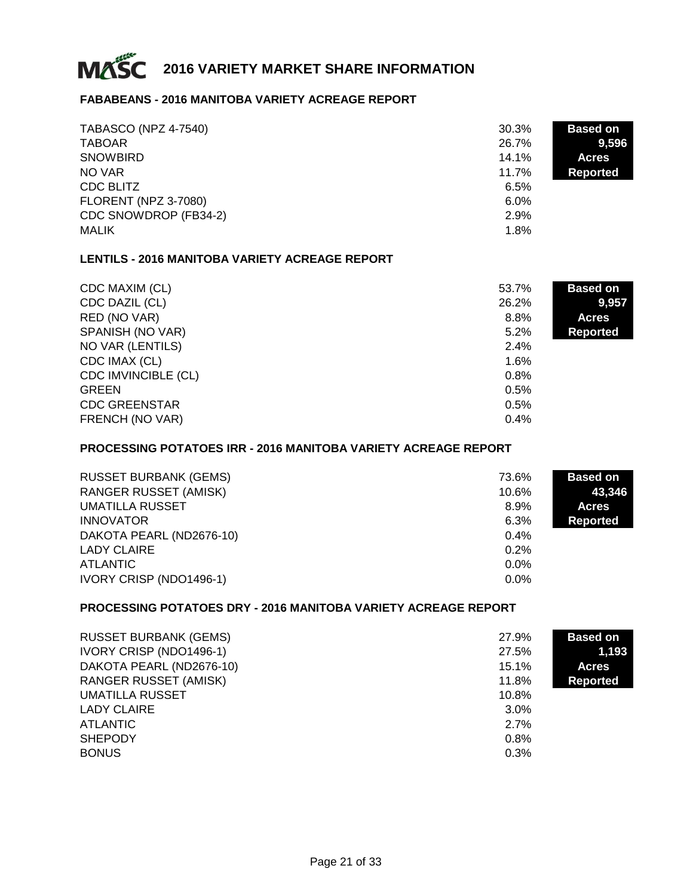

#### **FABABEANS - 2016 MANITOBA VARIETY ACREAGE REPORT**

| <b>TABASCO (NPZ 4-7540)</b><br><b>TABOAR</b> | 30.3%<br>26.7% | <b>Based on</b><br>9,596 |
|----------------------------------------------|----------------|--------------------------|
| <b>SNOWBIRD</b>                              | 14.1%          | <b>Acres</b>             |
| NO VAR                                       | 11.7%          | <b>Reported</b>          |
| CDC BLITZ                                    | 6.5%           |                          |
| <b>FLORENT (NPZ 3-7080)</b>                  | $6.0\%$        |                          |
| CDC SNOWDROP (FB34-2)                        | 2.9%           |                          |
| <b>MALIK</b>                                 | 1.8%           |                          |

#### **LENTILS - 2016 MANITOBA VARIETY ACREAGE REPORT**

| CDC MAXIM (CL)             | 53.7% | <b>Based on</b> |
|----------------------------|-------|-----------------|
| CDC DAZIL (CL)             | 26.2% | 9.957           |
| RED (NO VAR)               | 8.8%  | <b>Acres</b>    |
| SPANISH (NO VAR)           | 5.2%  | <b>Reported</b> |
| NO VAR (LENTILS)           | 2.4%  |                 |
| CDC IMAX (CL)              | 1.6%  |                 |
| <b>CDC IMVINCIBLE (CL)</b> | 0.8%  |                 |
| <b>GREEN</b>               | 0.5%  |                 |
| <b>CDC GREENSTAR</b>       | 0.5%  |                 |
| FRENCH (NO VAR)            | 0.4%  |                 |

#### **PROCESSING POTATOES IRR - 2016 MANITOBA VARIETY ACREAGE REPORT**

| <b>RUSSET BURBANK (GEMS)</b> | 73.6%   | <b>Based on</b> |
|------------------------------|---------|-----------------|
| <b>RANGER RUSSET (AMISK)</b> | 10.6%   | 43.346          |
| UMATILLA RUSSET              | 8.9%    | <b>Acres</b>    |
| <b>INNOVATOR</b>             | 6.3%    | Reported        |
| DAKOTA PEARL (ND2676-10)     | $0.4\%$ |                 |
| LADY CLAIRE                  | 0.2%    |                 |
| ATLANTIC                     | $0.0\%$ |                 |
| IVORY CRISP (NDO1496-1)      | $0.0\%$ |                 |

#### **PROCESSING POTATOES DRY - 2016 MANITOBA VARIETY ACREAGE REPORT**

| <b>RUSSET BURBANK (GEMS)</b> | 27.9%   | <b>Based on</b> |
|------------------------------|---------|-----------------|
| IVORY CRISP (NDO1496-1)      | 27.5%   | 1,193           |
| DAKOTA PEARL (ND2676-10)     | 15.1%   | <b>Acres</b>    |
| <b>RANGER RUSSET (AMISK)</b> | 11.8%   | <b>Reported</b> |
| <b>UMATILLA RUSSET</b>       | 10.8%   |                 |
| <b>LADY CLAIRE</b>           | $3.0\%$ |                 |
| <b>ATLANTIC</b>              | 2.7%    |                 |
| <b>SHEPODY</b>               | 0.8%    |                 |
| <b>BONUS</b>                 | 0.3%    |                 |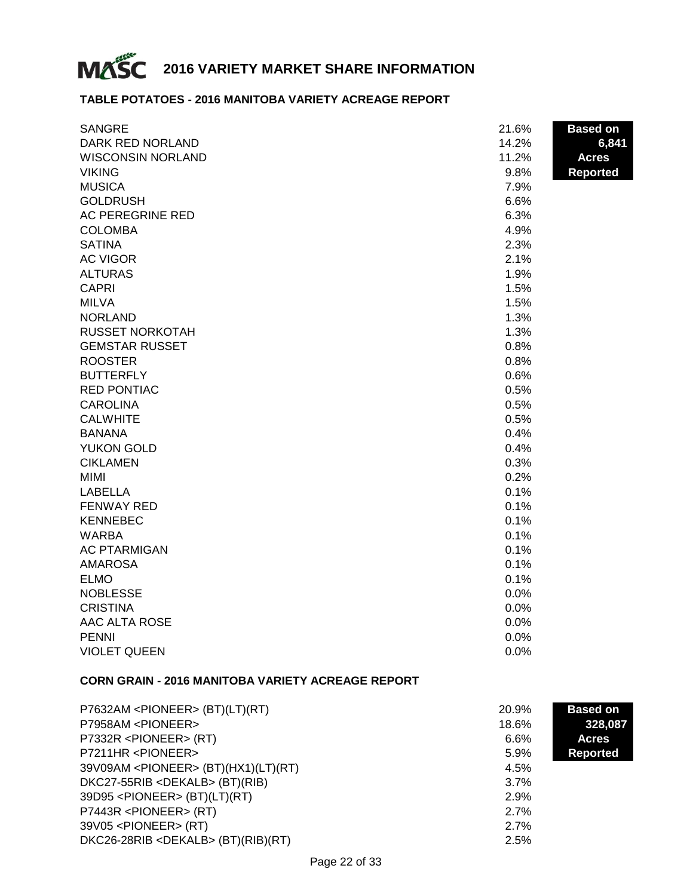

#### **TABLE POTATOES - 2016 MANITOBA VARIETY ACREAGE REPORT**

| <b>SANGRE</b>            | 21.6% | <b>Based on</b> |
|--------------------------|-------|-----------------|
| DARK RED NORLAND         | 14.2% | 6,841           |
| <b>WISCONSIN NORLAND</b> | 11.2% | <b>Acres</b>    |
| <b>VIKING</b>            | 9.8%  | <b>Reported</b> |
| <b>MUSICA</b>            | 7.9%  |                 |
| <b>GOLDRUSH</b>          | 6.6%  |                 |
| AC PEREGRINE RED         | 6.3%  |                 |
| <b>COLOMBA</b>           | 4.9%  |                 |
| <b>SATINA</b>            | 2.3%  |                 |
| <b>AC VIGOR</b>          | 2.1%  |                 |
| <b>ALTURAS</b>           | 1.9%  |                 |
| <b>CAPRI</b>             | 1.5%  |                 |
| <b>MILVA</b>             | 1.5%  |                 |
| <b>NORLAND</b>           | 1.3%  |                 |
| <b>RUSSET NORKOTAH</b>   | 1.3%  |                 |
| <b>GEMSTAR RUSSET</b>    | 0.8%  |                 |
| <b>ROOSTER</b>           | 0.8%  |                 |
| <b>BUTTERFLY</b>         | 0.6%  |                 |
| <b>RED PONTIAC</b>       | 0.5%  |                 |
| <b>CAROLINA</b>          | 0.5%  |                 |
| <b>CALWHITE</b>          | 0.5%  |                 |
| <b>BANANA</b>            | 0.4%  |                 |
| YUKON GOLD               | 0.4%  |                 |
| <b>CIKLAMEN</b>          | 0.3%  |                 |
| <b>MIMI</b>              | 0.2%  |                 |
| <b>LABELLA</b>           | 0.1%  |                 |
| <b>FENWAY RED</b>        | 0.1%  |                 |
| <b>KENNEBEC</b>          | 0.1%  |                 |
| <b>WARBA</b>             | 0.1%  |                 |
| <b>AC PTARMIGAN</b>      | 0.1%  |                 |
| <b>AMAROSA</b>           | 0.1%  |                 |
| <b>ELMO</b>              | 0.1%  |                 |
| <b>NOBLESSE</b>          | 0.0%  |                 |
| <b>CRISTINA</b>          | 0.0%  |                 |
| AAC ALTA ROSE            | 0.0%  |                 |
| <b>PENNI</b>             | 0.0%  |                 |
| <b>VIOLET QUEEN</b>      | 0.0%  |                 |

#### **CORN GRAIN - 2016 MANITOBA VARIETY ACREAGE REPORT**

| P7632AM <pioneer> (BT)(LT)(RT)</pioneer>      | 20.9% | <b>Based on</b> |  |
|-----------------------------------------------|-------|-----------------|--|
| P7958AM <pioneer></pioneer>                   | 18.6% | 328,087         |  |
| P7332R <pioneer> (RT)</pioneer>               | 6.6%  | <b>Acres</b>    |  |
| P7211HR <pioneer></pioneer>                   | 5.9%  | <b>Reported</b> |  |
| 39V09AM <pioneer> (BT)(HX1)(LT)(RT)</pioneer> | 4.5%  |                 |  |
| DKC27-55RIB <dekalb> (BT)(RIB)</dekalb>       | 3.7%  |                 |  |
| 39D95 <pioneer> (BT)(LT)(RT)</pioneer>        | 2.9%  |                 |  |
| P7443R <pioneer> (RT)</pioneer>               | 2.7%  |                 |  |
| 39V05 <pioneer> (RT)</pioneer>                | 2.7%  |                 |  |
| DKC26-28RIB <dekalb> (BT)(RIB)(RT)</dekalb>   | 2.5%  |                 |  |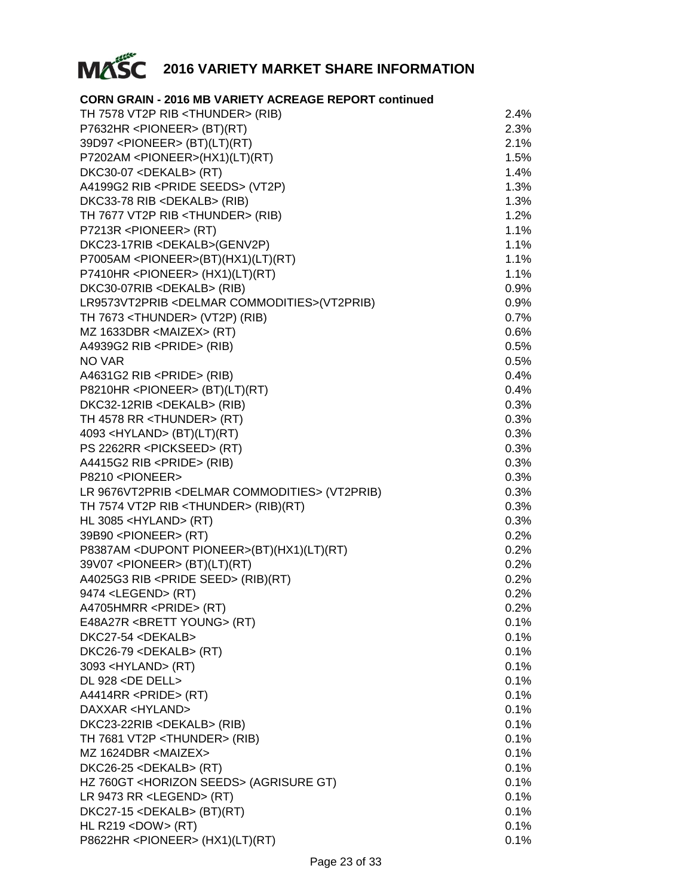

#### **CORN GRAIN - 2016 MB VARIETY ACREAGE REPORT continued**

| TH 7578 VT2P RIB <thunder> (RIB)</thunder>                | 2.4%    |
|-----------------------------------------------------------|---------|
| P7632HR <pioneer> (BT)(RT)</pioneer>                      | 2.3%    |
| 39D97 <pioneer> (BT)(LT)(RT)</pioneer>                    | 2.1%    |
| P7202AM <pioneer>(HX1)(LT)(RT)</pioneer>                  | 1.5%    |
| DKC30-07 <dekalb> (RT)</dekalb>                           | 1.4%    |
| A4199G2 RIB <pride seeds=""> (VT2P)</pride>               | 1.3%    |
| DKC33-78 RIB <dekalb> (RIB)</dekalb>                      | 1.3%    |
| TH 7677 VT2P RIB <thunder> (RIB)</thunder>                | 1.2%    |
| P7213R <pioneer> (RT)</pioneer>                           | 1.1%    |
| DKC23-17RIB <dekalb>(GENV2P)</dekalb>                     | 1.1%    |
| P7005AM <pioneer>(BT)(HX1)(LT)(RT)</pioneer>              | 1.1%    |
| P7410HR <pioneer> (HX1)(LT)(RT)</pioneer>                 | 1.1%    |
| DKC30-07RIB <dekalb> (RIB)</dekalb>                       | $0.9\%$ |
| LR9573VT2PRIB <delmar commodities="">(VT2PRIB)</delmar>   | $0.9\%$ |
| TH 7673 <thunder> (VT2P) (RIB)</thunder>                  | 0.7%    |
| MZ 1633DBR <maizex> (RT)</maizex>                         | 0.6%    |
| A4939G2 RIB <pride> (RIB)</pride>                         | 0.5%    |
| <b>NO VAR</b>                                             | 0.5%    |
| A4631G2 RIB <pride> (RIB)</pride>                         | 0.4%    |
| P8210HR <pioneer> (BT)(LT)(RT)</pioneer>                  | 0.4%    |
| DKC32-12RIB <dekalb> (RIB)</dekalb>                       | 0.3%    |
| TH 4578 RR <thunder> (RT)</thunder>                       | 0.3%    |
| 4093 < HYLAND > (BT)(LT)(RT)                              | 0.3%    |
| PS 2262RR <pickseed> (RT)</pickseed>                      | 0.3%    |
| A4415G2 RIB <pride> (RIB)</pride>                         | 0.3%    |
| P8210 <pioneer></pioneer>                                 | 0.3%    |
| LR 9676VT2PRIB <delmar commodities=""> (VT2PRIB)</delmar> | 0.3%    |
| TH 7574 VT2P RIB <thunder> (RIB)(RT)</thunder>            | 0.3%    |
| HL 3085 <hyland> (RT)</hyland>                            | 0.3%    |
| 39B90 <pioneer> (RT)</pioneer>                            | 0.2%    |
| P8387AM <dupont pioneer="">(BT)(HX1)(LT)(RT)</dupont>     | 0.2%    |
| 39V07 <pioneer> (BT)(LT)(RT)</pioneer>                    | 0.2%    |
| A4025G3 RIB <pride seed=""> (RIB)(RT)</pride>             | 0.2%    |
| 9474 <legend> (RT)</legend>                               | 0.2%    |
| A4705HMRR <pride> (RT)</pride>                            | $0.2\%$ |
| E48A27R <brett young=""> (RT)</brett>                     | $0.1\%$ |
| DKC27-54 <dekalb></dekalb>                                | 0.1%    |
| DKC26-79 <dekalb> (RT)</dekalb>                           | 0.1%    |
| 3093 <hyland> (RT)</hyland>                               | 0.1%    |
| DL 928 <de dell=""></de>                                  | 0.1%    |
| A4414RR <pride> (RT)</pride>                              | 0.1%    |
| DAXXAR <hyland></hyland>                                  | 0.1%    |
| DKC23-22RIB <dekalb> (RIB)</dekalb>                       | 0.1%    |
| TH 7681 VT2P <thunder> (RIB)</thunder>                    | 0.1%    |
| MZ 1624DBR <maizex></maizex>                              | 0.1%    |
| DKC26-25 <dekalb> (RT)</dekalb>                           | 0.1%    |
| HZ 760GT <horizon seeds=""> (AGRISURE GT)</horizon>       | 0.1%    |
| LR 9473 RR <legend> (RT)</legend>                         | 0.1%    |
| DKC27-15 <dekalb> (BT)(RT)</dekalb>                       | 0.1%    |
| HL R219 <dow> (RT)</dow>                                  | 0.1%    |
| P8622HR <pioneer> (HX1)(LT)(RT)</pioneer>                 | 0.1%    |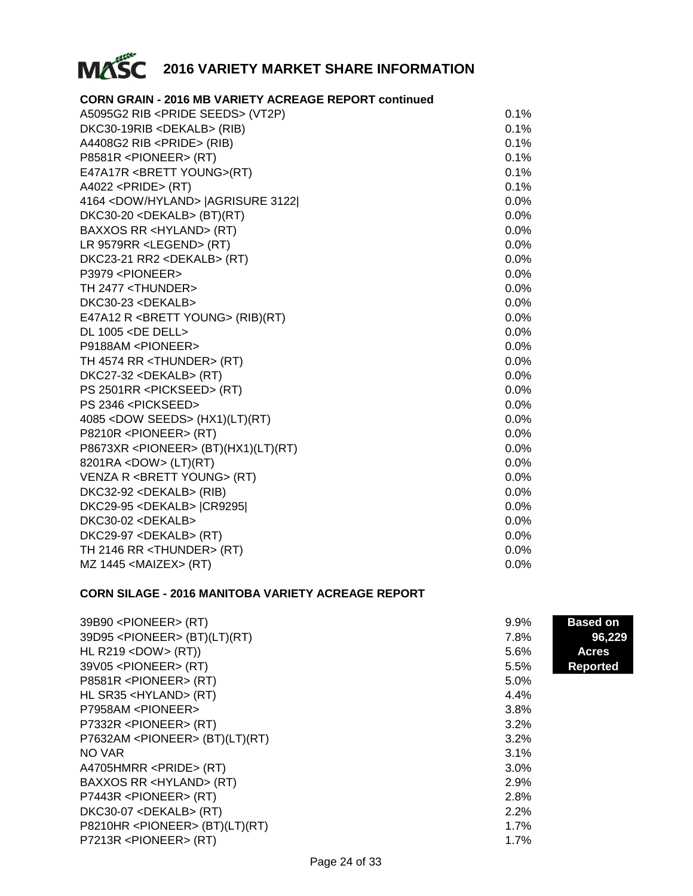

#### **CORN GRAIN - 2016 MB VARIETY ACREAGE REPORT continued**

| A5095G2 RIB <pride seeds=""> (VT2P)</pride>   | 0.1%    |
|-----------------------------------------------|---------|
| DKC30-19RIB <dekalb> (RIB)</dekalb>           | 0.1%    |
| A4408G2 RIB <pride> (RIB)</pride>             | 0.1%    |
| P8581R <pioneer> (RT)</pioneer>               | 0.1%    |
| E47A17R <brett young="">(RT)</brett>          | 0.1%    |
| $A4022$ <pride> (RT)</pride>                  | 0.1%    |
| 4164 < DOW/HYLAND>   AGRISURE 3122            | $0.0\%$ |
| DKC30-20 <dekalb> (BT)(RT)</dekalb>           | $0.0\%$ |
| BAXXOS RR <hyland> (RT)</hyland>              | $0.0\%$ |
| LR 9579RR <legend> (RT)</legend>              | $0.0\%$ |
| DKC23-21 RR2 <dekalb> (RT)</dekalb>           | $0.0\%$ |
| P3979 <pioneer></pioneer>                     | $0.0\%$ |
| TH 2477 <thunder></thunder>                   | $0.0\%$ |
| DKC30-23 <dekalb></dekalb>                    | $0.0\%$ |
| E47A12 R <brett young=""> (RIB)(RT)</brett>   | $0.0\%$ |
| DL 1005 <de dell=""></de>                     | $0.0\%$ |
| P9188AM <pioneer></pioneer>                   | $0.0\%$ |
| TH 4574 RR <thunder> (RT)</thunder>           | $0.0\%$ |
| DKC27-32 <dekalb> (RT)</dekalb>               | $0.0\%$ |
| PS 2501RR <pickseed> (RT)</pickseed>          | $0.0\%$ |
| PS 2346 <pickseed></pickseed>                 | 0.0%    |
| 4085 < DOW SEEDS > (HX1)(LT)(RT)              | $0.0\%$ |
| P8210R <pioneer> (RT)</pioneer>               | $0.0\%$ |
| P8673XR <pioneer> (BT)(HX1)(LT)(RT)</pioneer> | 0.0%    |
| 8201RA <dow> (LT)(RT)</dow>                   | $0.0\%$ |
| VENZA R <brett young=""> (RT)</brett>         | $0.0\%$ |
| DKC32-92 <dekalb> (RIB)</dekalb>              | $0.0\%$ |
| DKC29-95 <dekalb>  CR9295 </dekalb>           | $0.0\%$ |
| DKC30-02 <dekalb></dekalb>                    | $0.0\%$ |
| DKC29-97 <dekalb> (RT)</dekalb>               | $0.0\%$ |
| TH 2146 RR <thunder> (RT)</thunder>           | $0.0\%$ |
| MZ 1445 <maizex> (RT)</maizex>                | 0.0%    |

#### **CORN SILAGE - 2016 MANITOBA VARIETY ACREAGE REPORT**

| 39B90 <pioneer> (RT)</pioneer>           | $9.9\%$      | <b>Based on</b> |  |
|------------------------------------------|--------------|-----------------|--|
| 39D95 <pioneer> (BT)(LT)(RT)</pioneer>   | 7.8%         | 96,229          |  |
| HL R219 < DOW > $(RT)$ )                 | 5.6%         | <b>Acres</b>    |  |
| 39V05 <pioneer> (RT)</pioneer>           | 5.5%         | <b>Reported</b> |  |
| P8581R <pioneer> (RT)</pioneer>          | 5.0%         |                 |  |
| HL SR35 <hyland> (RT)</hyland>           | 4.4%         |                 |  |
| P7958AM <pioneer></pioneer>              | 3.8%         |                 |  |
| P7332R <pioneer> (RT)</pioneer>          | 3.2%         | 3.2%            |  |
| P7632AM <pioneer> (BT)(LT)(RT)</pioneer> |              |                 |  |
| NO VAR                                   | 3.1%         |                 |  |
| A4705HMRR <pride> (RT)</pride>           | 3.0%<br>2.9% |                 |  |
| BAXXOS RR <hyland> (RT)</hyland>         |              |                 |  |
| P7443R <pioneer> (RT)</pioneer>          | 2.8%         | 2.2%            |  |
| $DKC30-07 <$ DEKALB> (RT)                |              |                 |  |
| P8210HR <pioneer> (BT)(LT)(RT)</pioneer> | 1.7%         |                 |  |
| P7213R <pioneer> (RT)</pioneer>          | 1.7%         |                 |  |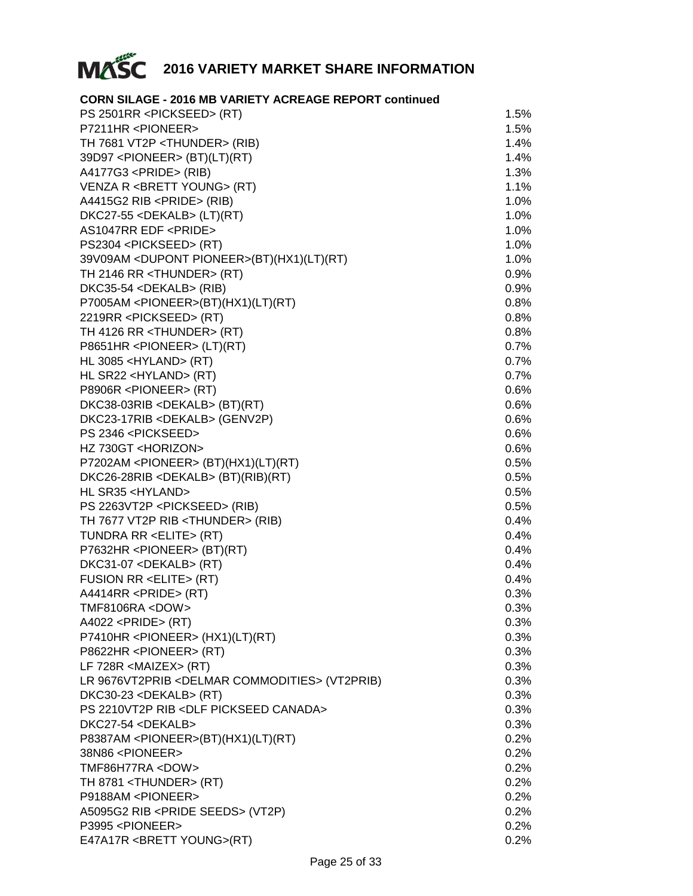

#### **CORN SILAGE - 2016 MB VARIETY ACREAGE REPORT continued**

| PS 2501RR <pickseed> (RT)</pickseed>                      | 1.5%    |
|-----------------------------------------------------------|---------|
| P7211HR <pioneer></pioneer>                               | 1.5%    |
| TH 7681 VT2P <thunder> (RIB)</thunder>                    | 1.4%    |
| 39D97 <pioneer> (BT)(LT)(RT)</pioneer>                    | 1.4%    |
| A4177G3 <pride> (RIB)</pride>                             | 1.3%    |
| VENZA R <brett young=""> (RT)</brett>                     | 1.1%    |
| A4415G2 RIB <pride> (RIB)</pride>                         | 1.0%    |
| DKC27-55 <dekalb> (LT)(RT)</dekalb>                       | 1.0%    |
| AS1047RR EDF <pride></pride>                              | 1.0%    |
| PS2304 <pickseed> (RT)</pickseed>                         | 1.0%    |
| 39V09AM < DUPONT PIONEER>(BT)(HX1)(LT)(RT)                | 1.0%    |
| TH 2146 RR <thunder> (RT)</thunder>                       | 0.9%    |
| DKC35-54 <dekalb> (RIB)</dekalb>                          | 0.9%    |
| P7005AM <pioneer>(BT)(HX1)(LT)(RT)</pioneer>              | 0.8%    |
| 2219RR <pickseed> (RT)</pickseed>                         | 0.8%    |
| TH 4126 RR <thunder> (RT)</thunder>                       | 0.8%    |
| P8651HR <pioneer> (LT)(RT)</pioneer>                      | 0.7%    |
| HL 3085 <hyland> (RT)</hyland>                            | 0.7%    |
| HL SR22 <hyland> (RT)</hyland>                            | 0.7%    |
| P8906R <pioneer> (RT)</pioneer>                           | 0.6%    |
| DKC38-03RIB <dekalb> (BT)(RT)</dekalb>                    | $0.6\%$ |
| DKC23-17RIB <dekalb> (GENV2P)</dekalb>                    | 0.6%    |
| PS 2346 <pickseed></pickseed>                             | 0.6%    |
| HZ 730GT <horizon></horizon>                              | 0.6%    |
| P7202AM <pioneer> (BT)(HX1)(LT)(RT)</pioneer>             | 0.5%    |
| DKC26-28RIB <dekalb> (BT)(RIB)(RT)</dekalb>               | 0.5%    |
| HL SR35 <hyland></hyland>                                 | 0.5%    |
|                                                           | 0.5%    |
| PS 2263VT2P <pickseed> (RIB)</pickseed>                   | 0.4%    |
| TH 7677 VT2P RIB <thunder> (RIB)</thunder>                |         |
| TUNDRA RR <elite> (RT)</elite>                            | 0.4%    |
| P7632HR <pioneer> (BT)(RT)</pioneer>                      | 0.4%    |
| DKC31-07 <dekalb> (RT)</dekalb>                           | 0.4%    |
| <b>FUSION RR <elite> (RT)</elite></b>                     | 0.4%    |
| A4414RR <pride> (RT)</pride>                              | 0.3%    |
| <b>TMF8106RA <dow></dow></b>                              | 0.3%    |
| $A4022$ <pride> (RT)</pride>                              | 0.3%    |
| P7410HR <pioneer> (HX1)(LT)(RT)</pioneer>                 | 0.3%    |
| P8622HR <pioneer> (RT)</pioneer>                          | 0.3%    |
| LF 728R <maizex> (RT)</maizex>                            | 0.3%    |
| LR 9676VT2PRIB <delmar commodities=""> (VT2PRIB)</delmar> | 0.3%    |
| DKC30-23 <dekalb> (RT)</dekalb>                           | 0.3%    |
| PS 2210VT2P RIB <dlf canada="" pickseed=""></dlf>         | 0.3%    |
| DKC27-54 <dekalb></dekalb>                                | 0.3%    |
| P8387AM <pioneer>(BT)(HX1)(LT)(RT)</pioneer>              | 0.2%    |
| 38N86 <pioneer></pioneer>                                 | 0.2%    |
| TMF86H77RA <dow></dow>                                    | 0.2%    |
| TH 8781 <thunder> (RT)</thunder>                          | 0.2%    |
| P9188AM <pioneer></pioneer>                               | 0.2%    |
| A5095G2 RIB <pride seeds=""> (VT2P)</pride>               | 0.2%    |
| P3995 <pioneer></pioneer>                                 | 0.2%    |
| E47A17R <brett young="">(RT)</brett>                      | 0.2%    |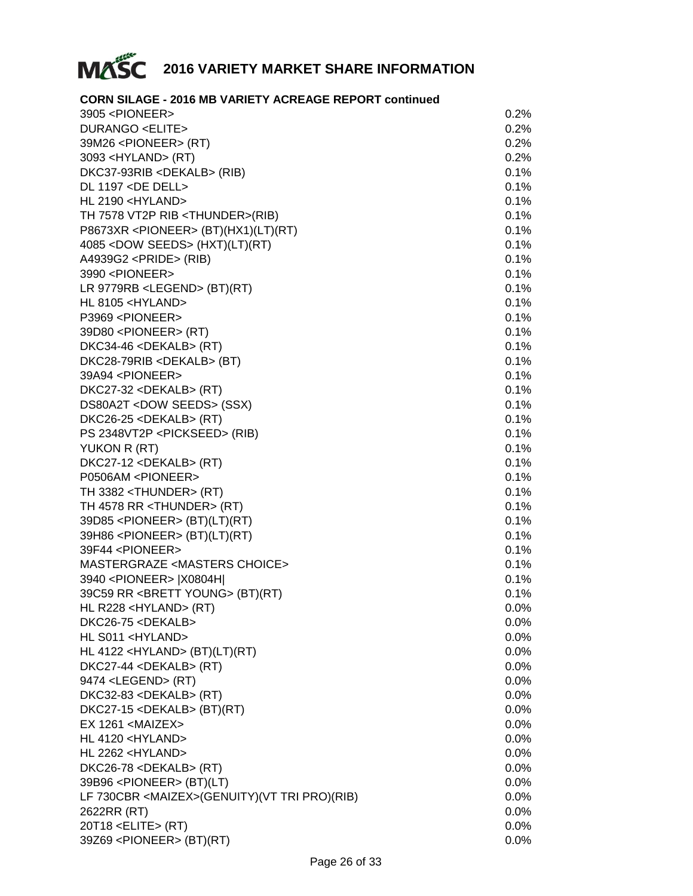

#### **CORN SILAGE - 2016 MB VARIETY ACREAGE REPORT continued**

| 3905 <pioneer></pioneer>                              | 0.2%    |
|-------------------------------------------------------|---------|
| <b>DURANGO <elite></elite></b>                        | 0.2%    |
| 39M26 <pioneer> (RT)</pioneer>                        | 0.2%    |
| 3093 <hyland> (RT)</hyland>                           | 0.2%    |
| DKC37-93RIB <dekalb> (RIB)</dekalb>                   | 0.1%    |
| DL 1197 <de dell=""></de>                             | 0.1%    |
| HL 2190 <hyland></hyland>                             | 0.1%    |
| TH 7578 VT2P RIB <thunder>(RIB)</thunder>             | 0.1%    |
| P8673XR <pioneer> (BT)(HX1)(LT)(RT)</pioneer>         | 0.1%    |
| 4085 < DOW SEEDS > (HXT)(LT)(RT)                      | 0.1%    |
| A4939G2 <pride> (RIB)</pride>                         | 0.1%    |
| 3990 <pioneer></pioneer>                              | 0.1%    |
| LR 9779RB <legend> (BT)(RT)</legend>                  | 0.1%    |
| HL 8105 <hyland></hyland>                             | 0.1%    |
| P3969 <pioneer></pioneer>                             | 0.1%    |
| 39D80 <pioneer> (RT)</pioneer>                        | 0.1%    |
| DKC34-46 <dekalb> (RT)</dekalb>                       | 0.1%    |
| DKC28-79RIB <dekalb> (BT)</dekalb>                    | 0.1%    |
| 39A94 <pioneer></pioneer>                             | 0.1%    |
| DKC27-32 <dekalb> (RT)</dekalb>                       | 0.1%    |
| DS80A2T <dow seeds=""> (SSX)</dow>                    | 0.1%    |
| DKC26-25 <dekalb> (RT)</dekalb>                       | 0.1%    |
| PS 2348VT2P <pickseed> (RIB)</pickseed>               | 0.1%    |
| YUKON R (RT)                                          | 0.1%    |
| DKC27-12 <dekalb> (RT)</dekalb>                       | 0.1%    |
| P0506AM <pioneer></pioneer>                           | 0.1%    |
| TH 3382 <thunder> (RT)</thunder>                      | 0.1%    |
| TH 4578 RR <thunder> (RT)</thunder>                   | 0.1%    |
| 39D85 <pioneer> (BT)(LT)(RT)</pioneer>                | 0.1%    |
| 39H86 <pioneer> (BT)(LT)(RT)</pioneer>                | 0.1%    |
| 39F44 <pioneer></pioneer>                             | 0.1%    |
| MASTERGRAZE <masters choice=""></masters>             | 0.1%    |
| 3940 <pioneer>  X0804H </pioneer>                     | 0.1%    |
| 39C59 RR <brett young=""> (BT)(RT)</brett>            | 0.1%    |
| HL R228 <hyland> (RT)</hyland>                        | $0.0\%$ |
| DKC26-75 <dekalb></dekalb>                            | 0.0%    |
| HL S011 <hyland></hyland>                             | 0.0%    |
| HL 4122 <hyland> (BT)(LT)(RT)</hyland>                | 0.0%    |
| DKC27-44 <dekalb> (RT)</dekalb>                       | 0.0%    |
| 9474 <legend> (RT)</legend>                           | 0.0%    |
| DKC32-83 <dekalb> (RT)</dekalb>                       | 0.0%    |
| DKC27-15 <dekalb> (BT)(RT)</dekalb>                   | 0.0%    |
| $EX$ 1261 <maizex></maizex>                           | 0.0%    |
| HL 4120 <hyland></hyland>                             | 0.0%    |
|                                                       |         |
| HL 2262 <hyland></hyland>                             | 0.0%    |
| DKC26-78 <dekalb> (RT)</dekalb>                       | 0.0%    |
| 39B96 <pioneer> (BT)(LT)</pioneer>                    | 0.0%    |
| LF 730CBR <maizex>(GENUITY)(VT TRI PRO)(RIB)</maizex> | 0.0%    |
| 2622RR (RT)                                           | 0.0%    |
| 20T18 <elite> (RT)</elite>                            | 0.0%    |
| 39Z69 <pioneer> (BT)(RT)</pioneer>                    | 0.0%    |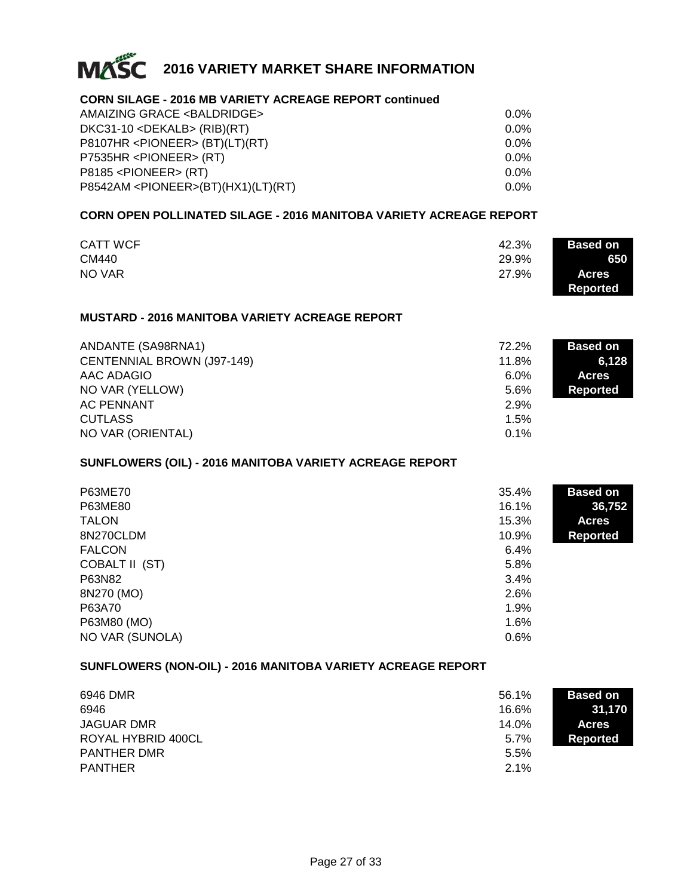

#### **CORN SILAGE - 2016 MB VARIETY ACREAGE REPORT continued**

| AMAIZING GRACE <baldridge><br/><math>DKC31-10 &lt;</math>DEKALB&gt; (RIB)(RT)</baldridge> | $0.0\%$<br>$0.0\%$ |
|-------------------------------------------------------------------------------------------|--------------------|
|                                                                                           |                    |
| P7535HR <pioneer> (RT)</pioneer>                                                          | $0.0\%$            |
| $P8185$ <pioneer> <math>(RT)</math></pioneer>                                             | $0.0\%$            |
| P8542AM < PIONEER > (BT)(HX1)(LT)(RT)                                                     | $0.0\%$            |

#### **CORN OPEN POLLINATED SILAGE - 2016 MANITOBA VARIETY ACREAGE REPORT**

|                 |       | <b>Based on</b> |
|-----------------|-------|-----------------|
| <b>CATT WCF</b> | 42.3% |                 |
| CM440           | 29.9% | 650             |
| NO VAR          | 27.9% | <b>Acres</b>    |
|                 |       | Reported        |

#### **MUSTARD - 2016 MANITOBA VARIETY ACREAGE REPORT**

| ANDANTE (SA98RNA1)                | 72.2%   | <b>Based on</b> |
|-----------------------------------|---------|-----------------|
| <b>CENTENNIAL BROWN (J97-149)</b> | 11.8%   | 6.128           |
| AAC ADAGIO                        | $6.0\%$ | <b>Acres</b>    |
| NO VAR (YELLOW)                   | 5.6%    | Reported        |
| <b>AC PENNANT</b>                 | 2.9%    |                 |
| <b>CUTLASS</b>                    | 1.5%    |                 |
| NO VAR (ORIENTAL)                 | 0.1%    |                 |

#### **SUNFLOWERS (OIL) - 2016 MANITOBA VARIETY ACREAGE REPORT**

| P63ME70<br>P63ME80<br><b>TALON</b><br>8N270CLDM<br><b>FALCON</b><br>COBALT II (ST)<br>P63N82<br>8N270 (MO)<br>P63A70<br>P63M80 (MO) | 35.4%<br>16.1%<br>15.3%<br>10.9%<br>6.4%<br>5.8%<br>3.4%<br>2.6%<br>1.9%<br>1.6% | <b>Based on</b><br>36,752<br><b>Acres</b><br><b>Reported</b> |
|-------------------------------------------------------------------------------------------------------------------------------------|----------------------------------------------------------------------------------|--------------------------------------------------------------|
| NO VAR (SUNOLA)                                                                                                                     | 0.6%                                                                             |                                                              |

#### **SUNFLOWERS (NON-OIL) - 2016 MANITOBA VARIETY ACREAGE REPORT**

| 6946 DMR           | 56.1% | <b>Based on</b> |
|--------------------|-------|-----------------|
| 6946               | 16.6% | 31,170          |
| JAGUAR DMR         | 14.0% | <b>Acres</b>    |
| ROYAL HYBRID 400CL | 5.7%  | Reported        |
| <b>PANTHER DMR</b> | 5.5%  |                 |
| <b>PANTHER</b>     | 2.1%  |                 |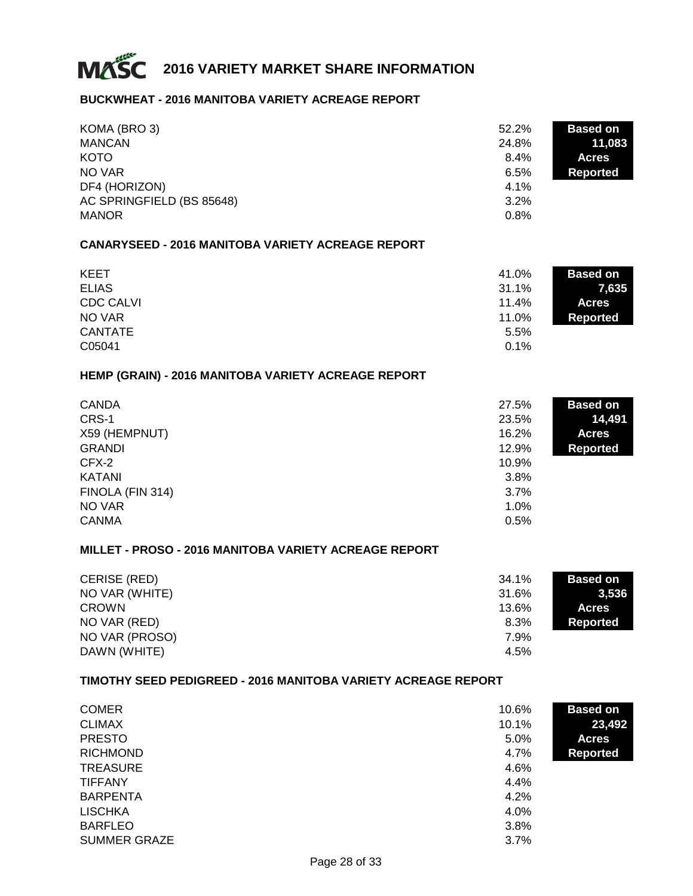

#### **BUCKWHEAT - 2016 MANITOBA VARIETY ACREAGE REPORT**

| KOMA (BRO 3)<br><b>MANCAN</b><br><b>KOTO</b><br>NO VAR<br>DF4 (HORIZON)<br>AC SPRINGFIELD (BS 85648)<br><b>MANOR</b> | $52.2\%$<br>24.8%<br>8.4%<br>6.5%<br>4.1%<br>3.2%<br>0.8% | <b>Based on</b><br>11,083<br><b>Acres</b><br><b>Reported</b> |
|----------------------------------------------------------------------------------------------------------------------|-----------------------------------------------------------|--------------------------------------------------------------|
| <b>CANARYSEED - 2016 MANITOBA VARIETY ACREAGE REPORT</b>                                                             |                                                           |                                                              |
| <b>KEET</b><br><b>ELIAS</b><br><b>CDC CALVI</b><br>NO VAR<br><b>CANTATE</b><br>C05041                                | 41.0%<br>31.1%<br>11.4%<br>11.0%<br>5.5%<br>0.1%          | <b>Based on</b><br>7,635<br><b>Acres</b><br><b>Reported</b>  |
| HEMP (GRAIN) - 2016 MANITOBA VARIETY ACREAGE REPORT                                                                  |                                                           |                                                              |
| <b>CANDA</b><br>CRS-1<br>X59 (HEMPNUT)<br><b>GRANDI</b>                                                              | 27.5%<br>23.5%<br>16.2%<br>12.9%                          | <b>Based on</b><br>14,491<br><b>Acres</b><br><b>Reported</b> |
| CFX-2                                                                                                                | 10.9%                                                     |                                                              |

| ◡ ៸ ៶ ៸          | 1 U.U / U |
|------------------|-----------|
| KATANI           | 3.8%      |
| FINOLA (FIN 314) | 3.7%      |
| NO VAR           | 1.0%      |
| CANMA            | 0.5%      |
|                  |           |

#### **MILLET - PROSO - 2016 MANITOBA VARIETY ACREAGE REPORT**

| CERISE (RED)   | 34.1% | <b>Based on</b> |
|----------------|-------|-----------------|
| NO VAR (WHITE) | 31.6% | 3.536           |
| <b>CROWN</b>   | 13.6% | <b>Acres</b>    |
| NO VAR (RED)   | 8.3%  | Reported        |
| NO VAR (PROSO) | 7.9%  |                 |
| DAWN (WHITE)   | 4.5%  |                 |

#### **TIMOTHY SEED PEDIGREED - 2016 MANITOBA VARIETY ACREAGE REPORT**

| <b>COMER</b>        | 10.6% | <b>Based on</b> |
|---------------------|-------|-----------------|
| <b>CLIMAX</b>       | 10.1% | 23,492          |
| <b>PRESTO</b>       | 5.0%  | <b>Acres</b>    |
| <b>RICHMOND</b>     | 4.7%  | <b>Reported</b> |
| <b>TREASURE</b>     | 4.6%  |                 |
| <b>TIFFANY</b>      | 4.4%  |                 |
| <b>BARPENTA</b>     | 4.2%  |                 |
| <b>LISCHKA</b>      | 4.0%  |                 |
| <b>BARFLEO</b>      | 3.8%  |                 |
| <b>SUMMER GRAZE</b> | 3.7%  |                 |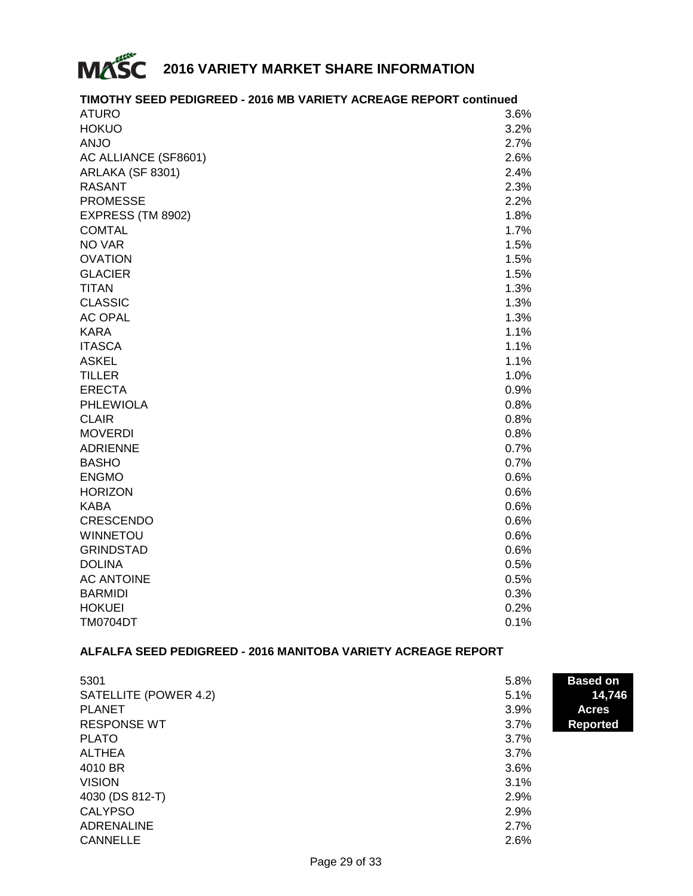

#### $\lambda$  at  $\lambda$  3.6% and  $\lambda$  3.6% and  $\lambda$  3.6% and  $\lambda$  3.6% and  $\lambda$  $HOKUO$  3.2%  $\mathsf{ANJO}$  and  $\mathsf{2.7\%}$ AC ALLIANCE (SF8601) # 2.6% ARLAKA (SF 8301) # 2.4%  $RASANT$   $2.3\%$ PROMESSE 2.2% EXPRESS (TM 8902) # 1.8%  $\text{COMTAL} \hspace{1.5cm} 1.7\%$  $N$ O VAR  $1.5\%$  $\blacksquare$   $\blacksquare$   $\blacksquare$   $\blacksquare$   $\blacksquare$   $\blacksquare$   $\blacksquare$   $\blacksquare$   $\blacksquare$   $\blacksquare$   $\blacksquare$   $\blacksquare$   $\blacksquare$   $\blacksquare$   $\blacksquare$   $\blacksquare$   $\blacksquare$   $\blacksquare$   $\blacksquare$   $\blacksquare$   $\blacksquare$   $\blacksquare$   $\blacksquare$   $\blacksquare$   $\blacksquare$   $\blacksquare$   $\blacksquare$   $\blacksquare$   $\blacksquare$   $\blacksquare$   $\blacksquare$   $\blacks$  $GLACIER$  . The set of the set of the set of the set of the set of the set of the set of the set of the set of the set of the set of the set of the set of the set of the set of the set of the set of the set of the set of the  $\blacksquare$ TITAN  $\blacksquare$  $CLASSIC$   $1.3\%$  $AC OPAL$   $1.3\%$  $\kappa$ ARA  $\kappa$ ITASCA  $1.1\%$  ${\sf ASKEL} \hspace{1.5cm} 1.1\%$ TILLER # 1.0%  $\blacksquare$ ERECTA  $\blacksquare$  0.9% PHLEWIOLA 80.8%  $CLAIR$   $0.8\%$  $\textsf{MOVERDI}{}$  . The observed of the contract of the contract of the contract of the contract of the contract of the contract of the contract of the contract of the contract of the contract of the contract of the contract o ADRIENNE # 0.7%  $BASHO$  , and the observed of the contract of the contract of the contract of the contract of the contract of the contract of the contract of the contract of the contract of the contract of the contract of the contract of t  $\blacksquare$ ENGMO  $\blacksquare$  0.6% HORIZON 0.6%  $\mathsf{KABA}\hspace{1cm}\mathsf{0.6}\%$ CRESCENDO # 0.6%  $WINNETOU$   $0.6\%$ GRINDSTAD # 0.6%  $DOLINA$   $0.5\%$ AC ANTOINE  $0.5\%$  $\,$ BARMIDI  $\,$  0.3%  $\,$  $H$ OKUEI  $0.2\%$ TM0704DT # 0.1%

#### **TIMOTHY SEED PEDIGREED - 2016 MB VARIETY ACREAGE REPORT continued**

#### **ALFALFA SEED PEDIGREED - 2016 MANITOBA VARIETY ACREAGE REPORT**

| 5301                  | 5.8% | <b>Based on</b> |
|-----------------------|------|-----------------|
| SATELLITE (POWER 4.2) | 5.1% | 14,746          |
| <b>PLANET</b>         | 3.9% | <b>Acres</b>    |
| <b>RESPONSE WT</b>    | 3.7% | <b>Reported</b> |
| <b>PLATO</b>          | 3.7% |                 |
| <b>ALTHEA</b>         | 3.7% |                 |
| 4010 BR               | 3.6% |                 |
| <b>VISION</b>         | 3.1% |                 |
| 4030 (DS 812-T)       | 2.9% |                 |
| <b>CALYPSO</b>        | 2.9% |                 |
| <b>ADRENALINE</b>     | 2.7% |                 |
| <b>CANNELLE</b>       | 2.6% |                 |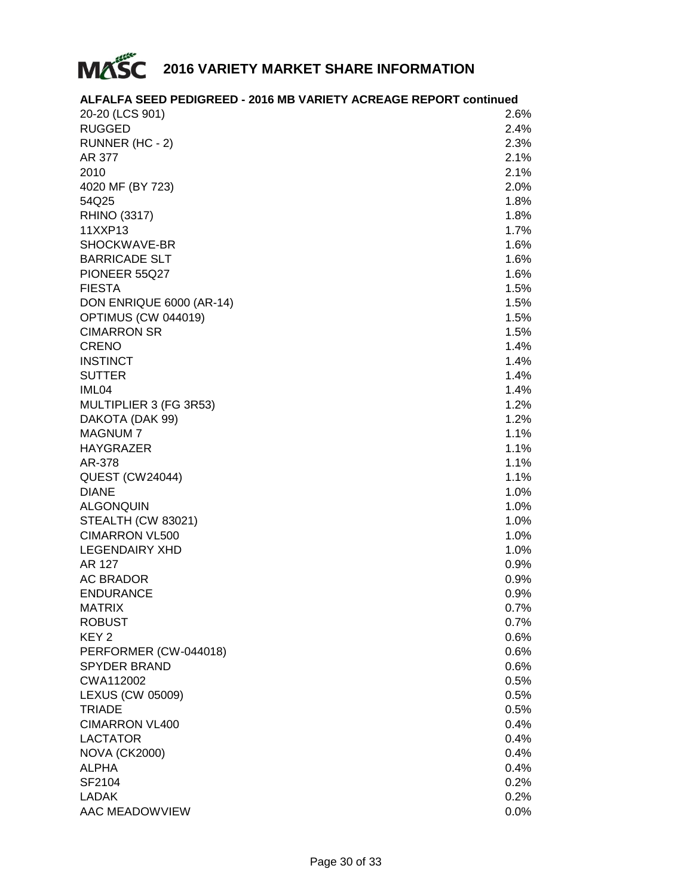

#### **ALFALFA SEED PEDIGREED - 2016 MB VARIETY ACREAGE REPORT continued**

| 20-20 (LCS 901)          | 2.6%    |
|--------------------------|---------|
| <b>RUGGED</b>            | 2.4%    |
| RUNNER (HC - 2)          | 2.3%    |
| AR 377                   | 2.1%    |
| 2010                     | 2.1%    |
| 4020 MF (BY 723)         | 2.0%    |
| 54Q25                    | 1.8%    |
| <b>RHINO (3317)</b>      | 1.8%    |
| 11XXP13                  | 1.7%    |
| SHOCKWAVE-BR             | 1.6%    |
| <b>BARRICADE SLT</b>     | 1.6%    |
| PIONEER 55Q27            | 1.6%    |
| <b>FIESTA</b>            | 1.5%    |
| DON ENRIQUE 6000 (AR-14) | 1.5%    |
| OPTIMUS (CW 044019)      | 1.5%    |
| <b>CIMARRON SR</b>       | 1.5%    |
| <b>CRENO</b>             | 1.4%    |
| <b>INSTINCT</b>          | 1.4%    |
| <b>SUTTER</b>            | 1.4%    |
| IML04                    | 1.4%    |
| MULTIPLIER 3 (FG 3R53)   | 1.2%    |
| DAKOTA (DAK 99)          | 1.2%    |
| <b>MAGNUM7</b>           | 1.1%    |
| <b>HAYGRAZER</b>         | 1.1%    |
| AR-378                   | 1.1%    |
| <b>QUEST (CW24044)</b>   | 1.1%    |
| <b>DIANE</b>             | 1.0%    |
| <b>ALGONQUIN</b>         | 1.0%    |
| STEALTH (CW 83021)       | 1.0%    |
| <b>CIMARRON VL500</b>    | 1.0%    |
| <b>LEGENDAIRY XHD</b>    | 1.0%    |
| AR 127                   | 0.9%    |
| <b>AC BRADOR</b>         | 0.9%    |
| <b>ENDURANCE</b>         | 0.9%    |
| <b>MATRIX</b>            | 0.7%    |
| ROBUST                   | $0.7\%$ |
| KEY <sub>2</sub>         | 0.6%    |
| PERFORMER (CW-044018)    | 0.6%    |
| <b>SPYDER BRAND</b>      | 0.6%    |
| CWA112002                | 0.5%    |
| <b>LEXUS (CW 05009)</b>  | 0.5%    |
| <b>TRIADE</b>            | 0.5%    |
| <b>CIMARRON VL400</b>    | 0.4%    |
| <b>LACTATOR</b>          | 0.4%    |
| <b>NOVA (CK2000)</b>     | 0.4%    |
| <b>ALPHA</b>             | 0.4%    |
| SF2104                   | 0.2%    |
| <b>LADAK</b>             | 0.2%    |
| AAC MEADOWVIEW           | $0.0\%$ |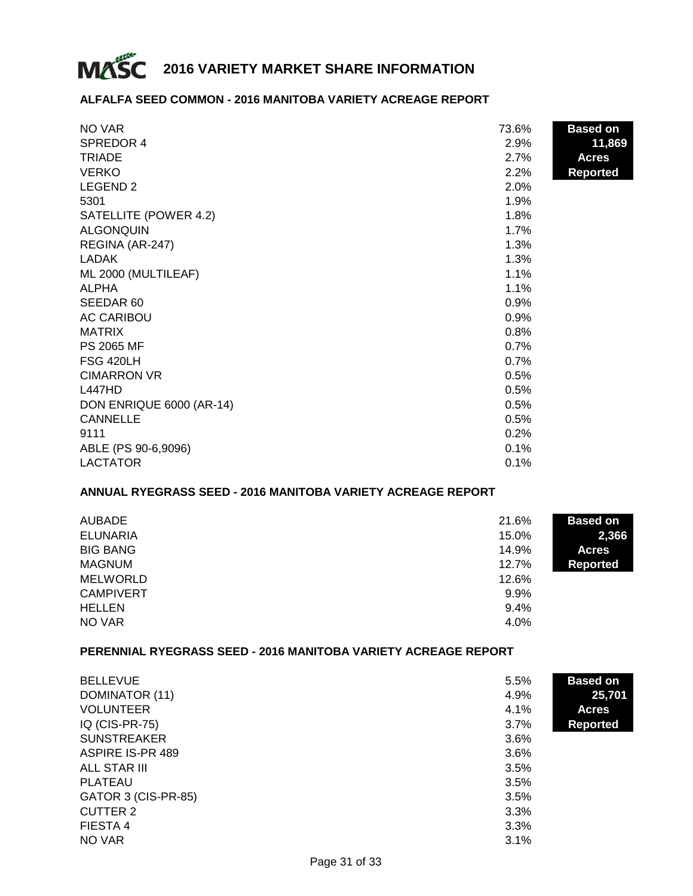

#### **ALFALFA SEED COMMON - 2016 MANITOBA VARIETY ACREAGE REPORT**

| NO VAR                   | 73.6% | <b>Based on</b> |
|--------------------------|-------|-----------------|
| SPREDOR 4                | 2.9%  | 11,869          |
| <b>TRIADE</b>            | 2.7%  | <b>Acres</b>    |
| <b>VERKO</b>             | 2.2%  | <b>Reported</b> |
| LEGEND <sub>2</sub>      | 2.0%  |                 |
| 5301                     | 1.9%  |                 |
| SATELLITE (POWER 4.2)    | 1.8%  |                 |
| <b>ALGONQUIN</b>         | 1.7%  |                 |
| REGINA (AR-247)          | 1.3%  |                 |
| LADAK                    | 1.3%  |                 |
| ML 2000 (MULTILEAF)      | 1.1%  |                 |
| <b>ALPHA</b>             | 1.1%  |                 |
| SEEDAR 60                | 0.9%  |                 |
| <b>AC CARIBOU</b>        | 0.9%  |                 |
| <b>MATRIX</b>            | 0.8%  |                 |
| <b>PS 2065 MF</b>        | 0.7%  |                 |
| <b>FSG 420LH</b>         | 0.7%  |                 |
| <b>CIMARRON VR</b>       | 0.5%  |                 |
| <b>L447HD</b>            | 0.5%  |                 |
| DON ENRIQUE 6000 (AR-14) | 0.5%  |                 |
| <b>CANNELLE</b>          | 0.5%  |                 |
| 9111                     | 0.2%  |                 |
| ABLE (PS 90-6,9096)      | 0.1%  |                 |
| <b>LACTATOR</b>          | 0.1%  |                 |

#### **ANNUAL RYEGRASS SEED - 2016 MANITOBA VARIETY ACREAGE REPORT**

| <b>AUBADE</b>    | 21.6%   | <b>Based on</b> |
|------------------|---------|-----------------|
| <b>ELUNARIA</b>  | 15.0%   | 2,366           |
| <b>BIG BANG</b>  | 14.9%   | <b>Acres</b>    |
| <b>MAGNUM</b>    | 12.7%   | <b>Reported</b> |
| <b>MELWORLD</b>  | 12.6%   |                 |
| <b>CAMPIVERT</b> | $9.9\%$ |                 |
| <b>HELLEN</b>    | 9.4%    |                 |
| NO VAR           | 4.0%    |                 |

#### **PERENNIAL RYEGRASS SEED - 2016 MANITOBA VARIETY ACREAGE REPORT**

| <b>BELLEVUE</b>     | 5.5% | <b>Based on</b> |
|---------------------|------|-----------------|
| DOMINATOR (11)      | 4.9% | 25,701          |
| <b>VOLUNTEER</b>    | 4.1% | <b>Acres</b>    |
| IQ (CIS-PR-75)      | 3.7% | <b>Reported</b> |
| <b>SUNSTREAKER</b>  | 3.6% |                 |
| ASPIRE IS-PR 489    | 3.6% |                 |
| ALL STAR III        | 3.5% |                 |
| PLATEAU             | 3.5% |                 |
| GATOR 3 (CIS-PR-85) | 3.5% |                 |
| <b>CUTTER 2</b>     | 3.3% |                 |
| FIESTA 4            | 3.3% |                 |
| NO VAR              | 3.1% |                 |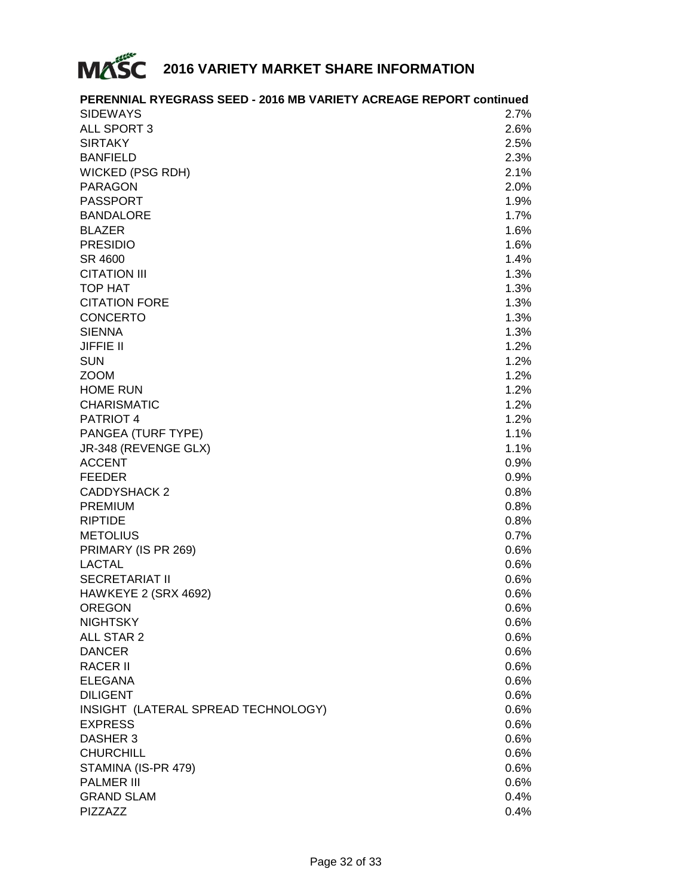

| <b>SIDEWAYS</b><br>2.7%<br>ALL SPORT 3<br>2.6%<br><b>SIRTAKY</b><br>2.5%<br><b>BANFIELD</b><br>2.3%<br><b>WICKED (PSG RDH)</b><br>2.1%<br><b>PARAGON</b><br>2.0%<br><b>PASSPORT</b><br>1.9%<br>1.7%<br><b>BANDALORE</b><br><b>BLAZER</b><br>1.6%<br><b>PRESIDIO</b><br>1.6%<br>SR 4600<br>1.4%<br><b>CITATION III</b><br>1.3%<br><b>TOP HAT</b><br>1.3%<br><b>CITATION FORE</b><br>1.3%<br><b>CONCERTO</b><br>1.3%<br><b>SIENNA</b><br>1.3%<br><b>JIFFIE II</b><br>1.2%<br><b>SUN</b><br>1.2%<br><b>ZOOM</b><br>1.2%<br><b>HOME RUN</b><br>1.2%<br><b>CHARISMATIC</b><br>1.2%<br>PATRIOT 4<br>1.2%<br>PANGEA (TURF TYPE)<br>1.1%<br>JR-348 (REVENGE GLX)<br>1.1%<br><b>ACCENT</b><br>0.9%<br><b>FEEDER</b><br>0.9%<br><b>CADDYSHACK 2</b><br>0.8%<br><b>PREMIUM</b><br>0.8%<br><b>RIPTIDE</b><br>0.8%<br><b>METOLIUS</b><br>0.7%<br>PRIMARY (IS PR 269)<br>0.6%<br><b>LACTAL</b><br>0.6%<br><b>SECRETARIAT II</b><br>0.6%<br>HAWKEYE 2 (SRX 4692)<br>0.6%<br><b>OREGON</b><br>0.6%<br><b>NIGHTSKY</b><br>0.6%<br>ALL STAR 2<br>0.6%<br>0.6%<br><b>DANCER</b><br><b>RACER II</b><br>0.6%<br><b>ELEGANA</b><br>0.6%<br><b>DILIGENT</b><br>0.6%<br>INSIGHT (LATERAL SPREAD TECHNOLOGY)<br>0.6%<br><b>EXPRESS</b><br>0.6%<br>DASHER 3<br>0.6%<br><b>CHURCHILL</b><br>0.6%<br>STAMINA (IS-PR 479)<br>0.6%<br><b>PALMER III</b><br>0.6%<br><b>GRAND SLAM</b><br>0.4% | PERENNIAL RYEGRASS SEED - 2016 MB VARIETY ACREAGE REPORT continued |      |
|----------------------------------------------------------------------------------------------------------------------------------------------------------------------------------------------------------------------------------------------------------------------------------------------------------------------------------------------------------------------------------------------------------------------------------------------------------------------------------------------------------------------------------------------------------------------------------------------------------------------------------------------------------------------------------------------------------------------------------------------------------------------------------------------------------------------------------------------------------------------------------------------------------------------------------------------------------------------------------------------------------------------------------------------------------------------------------------------------------------------------------------------------------------------------------------------------------------------------------------------------------------------------------------------------------------------------------------------------------------|--------------------------------------------------------------------|------|
|                                                                                                                                                                                                                                                                                                                                                                                                                                                                                                                                                                                                                                                                                                                                                                                                                                                                                                                                                                                                                                                                                                                                                                                                                                                                                                                                                                |                                                                    |      |
|                                                                                                                                                                                                                                                                                                                                                                                                                                                                                                                                                                                                                                                                                                                                                                                                                                                                                                                                                                                                                                                                                                                                                                                                                                                                                                                                                                |                                                                    |      |
|                                                                                                                                                                                                                                                                                                                                                                                                                                                                                                                                                                                                                                                                                                                                                                                                                                                                                                                                                                                                                                                                                                                                                                                                                                                                                                                                                                |                                                                    |      |
|                                                                                                                                                                                                                                                                                                                                                                                                                                                                                                                                                                                                                                                                                                                                                                                                                                                                                                                                                                                                                                                                                                                                                                                                                                                                                                                                                                |                                                                    |      |
|                                                                                                                                                                                                                                                                                                                                                                                                                                                                                                                                                                                                                                                                                                                                                                                                                                                                                                                                                                                                                                                                                                                                                                                                                                                                                                                                                                |                                                                    |      |
|                                                                                                                                                                                                                                                                                                                                                                                                                                                                                                                                                                                                                                                                                                                                                                                                                                                                                                                                                                                                                                                                                                                                                                                                                                                                                                                                                                |                                                                    |      |
|                                                                                                                                                                                                                                                                                                                                                                                                                                                                                                                                                                                                                                                                                                                                                                                                                                                                                                                                                                                                                                                                                                                                                                                                                                                                                                                                                                |                                                                    |      |
|                                                                                                                                                                                                                                                                                                                                                                                                                                                                                                                                                                                                                                                                                                                                                                                                                                                                                                                                                                                                                                                                                                                                                                                                                                                                                                                                                                |                                                                    |      |
|                                                                                                                                                                                                                                                                                                                                                                                                                                                                                                                                                                                                                                                                                                                                                                                                                                                                                                                                                                                                                                                                                                                                                                                                                                                                                                                                                                |                                                                    |      |
|                                                                                                                                                                                                                                                                                                                                                                                                                                                                                                                                                                                                                                                                                                                                                                                                                                                                                                                                                                                                                                                                                                                                                                                                                                                                                                                                                                |                                                                    |      |
|                                                                                                                                                                                                                                                                                                                                                                                                                                                                                                                                                                                                                                                                                                                                                                                                                                                                                                                                                                                                                                                                                                                                                                                                                                                                                                                                                                |                                                                    |      |
|                                                                                                                                                                                                                                                                                                                                                                                                                                                                                                                                                                                                                                                                                                                                                                                                                                                                                                                                                                                                                                                                                                                                                                                                                                                                                                                                                                |                                                                    |      |
|                                                                                                                                                                                                                                                                                                                                                                                                                                                                                                                                                                                                                                                                                                                                                                                                                                                                                                                                                                                                                                                                                                                                                                                                                                                                                                                                                                |                                                                    |      |
|                                                                                                                                                                                                                                                                                                                                                                                                                                                                                                                                                                                                                                                                                                                                                                                                                                                                                                                                                                                                                                                                                                                                                                                                                                                                                                                                                                |                                                                    |      |
|                                                                                                                                                                                                                                                                                                                                                                                                                                                                                                                                                                                                                                                                                                                                                                                                                                                                                                                                                                                                                                                                                                                                                                                                                                                                                                                                                                |                                                                    |      |
|                                                                                                                                                                                                                                                                                                                                                                                                                                                                                                                                                                                                                                                                                                                                                                                                                                                                                                                                                                                                                                                                                                                                                                                                                                                                                                                                                                |                                                                    |      |
|                                                                                                                                                                                                                                                                                                                                                                                                                                                                                                                                                                                                                                                                                                                                                                                                                                                                                                                                                                                                                                                                                                                                                                                                                                                                                                                                                                |                                                                    |      |
|                                                                                                                                                                                                                                                                                                                                                                                                                                                                                                                                                                                                                                                                                                                                                                                                                                                                                                                                                                                                                                                                                                                                                                                                                                                                                                                                                                |                                                                    |      |
|                                                                                                                                                                                                                                                                                                                                                                                                                                                                                                                                                                                                                                                                                                                                                                                                                                                                                                                                                                                                                                                                                                                                                                                                                                                                                                                                                                |                                                                    |      |
|                                                                                                                                                                                                                                                                                                                                                                                                                                                                                                                                                                                                                                                                                                                                                                                                                                                                                                                                                                                                                                                                                                                                                                                                                                                                                                                                                                |                                                                    |      |
|                                                                                                                                                                                                                                                                                                                                                                                                                                                                                                                                                                                                                                                                                                                                                                                                                                                                                                                                                                                                                                                                                                                                                                                                                                                                                                                                                                |                                                                    |      |
|                                                                                                                                                                                                                                                                                                                                                                                                                                                                                                                                                                                                                                                                                                                                                                                                                                                                                                                                                                                                                                                                                                                                                                                                                                                                                                                                                                |                                                                    |      |
|                                                                                                                                                                                                                                                                                                                                                                                                                                                                                                                                                                                                                                                                                                                                                                                                                                                                                                                                                                                                                                                                                                                                                                                                                                                                                                                                                                |                                                                    |      |
|                                                                                                                                                                                                                                                                                                                                                                                                                                                                                                                                                                                                                                                                                                                                                                                                                                                                                                                                                                                                                                                                                                                                                                                                                                                                                                                                                                |                                                                    |      |
|                                                                                                                                                                                                                                                                                                                                                                                                                                                                                                                                                                                                                                                                                                                                                                                                                                                                                                                                                                                                                                                                                                                                                                                                                                                                                                                                                                |                                                                    |      |
|                                                                                                                                                                                                                                                                                                                                                                                                                                                                                                                                                                                                                                                                                                                                                                                                                                                                                                                                                                                                                                                                                                                                                                                                                                                                                                                                                                |                                                                    |      |
|                                                                                                                                                                                                                                                                                                                                                                                                                                                                                                                                                                                                                                                                                                                                                                                                                                                                                                                                                                                                                                                                                                                                                                                                                                                                                                                                                                |                                                                    |      |
|                                                                                                                                                                                                                                                                                                                                                                                                                                                                                                                                                                                                                                                                                                                                                                                                                                                                                                                                                                                                                                                                                                                                                                                                                                                                                                                                                                |                                                                    |      |
|                                                                                                                                                                                                                                                                                                                                                                                                                                                                                                                                                                                                                                                                                                                                                                                                                                                                                                                                                                                                                                                                                                                                                                                                                                                                                                                                                                |                                                                    |      |
|                                                                                                                                                                                                                                                                                                                                                                                                                                                                                                                                                                                                                                                                                                                                                                                                                                                                                                                                                                                                                                                                                                                                                                                                                                                                                                                                                                |                                                                    |      |
|                                                                                                                                                                                                                                                                                                                                                                                                                                                                                                                                                                                                                                                                                                                                                                                                                                                                                                                                                                                                                                                                                                                                                                                                                                                                                                                                                                |                                                                    |      |
|                                                                                                                                                                                                                                                                                                                                                                                                                                                                                                                                                                                                                                                                                                                                                                                                                                                                                                                                                                                                                                                                                                                                                                                                                                                                                                                                                                |                                                                    |      |
|                                                                                                                                                                                                                                                                                                                                                                                                                                                                                                                                                                                                                                                                                                                                                                                                                                                                                                                                                                                                                                                                                                                                                                                                                                                                                                                                                                |                                                                    |      |
|                                                                                                                                                                                                                                                                                                                                                                                                                                                                                                                                                                                                                                                                                                                                                                                                                                                                                                                                                                                                                                                                                                                                                                                                                                                                                                                                                                |                                                                    |      |
|                                                                                                                                                                                                                                                                                                                                                                                                                                                                                                                                                                                                                                                                                                                                                                                                                                                                                                                                                                                                                                                                                                                                                                                                                                                                                                                                                                |                                                                    |      |
|                                                                                                                                                                                                                                                                                                                                                                                                                                                                                                                                                                                                                                                                                                                                                                                                                                                                                                                                                                                                                                                                                                                                                                                                                                                                                                                                                                |                                                                    |      |
|                                                                                                                                                                                                                                                                                                                                                                                                                                                                                                                                                                                                                                                                                                                                                                                                                                                                                                                                                                                                                                                                                                                                                                                                                                                                                                                                                                |                                                                    |      |
|                                                                                                                                                                                                                                                                                                                                                                                                                                                                                                                                                                                                                                                                                                                                                                                                                                                                                                                                                                                                                                                                                                                                                                                                                                                                                                                                                                |                                                                    |      |
|                                                                                                                                                                                                                                                                                                                                                                                                                                                                                                                                                                                                                                                                                                                                                                                                                                                                                                                                                                                                                                                                                                                                                                                                                                                                                                                                                                |                                                                    |      |
|                                                                                                                                                                                                                                                                                                                                                                                                                                                                                                                                                                                                                                                                                                                                                                                                                                                                                                                                                                                                                                                                                                                                                                                                                                                                                                                                                                |                                                                    |      |
|                                                                                                                                                                                                                                                                                                                                                                                                                                                                                                                                                                                                                                                                                                                                                                                                                                                                                                                                                                                                                                                                                                                                                                                                                                                                                                                                                                |                                                                    |      |
|                                                                                                                                                                                                                                                                                                                                                                                                                                                                                                                                                                                                                                                                                                                                                                                                                                                                                                                                                                                                                                                                                                                                                                                                                                                                                                                                                                |                                                                    |      |
|                                                                                                                                                                                                                                                                                                                                                                                                                                                                                                                                                                                                                                                                                                                                                                                                                                                                                                                                                                                                                                                                                                                                                                                                                                                                                                                                                                |                                                                    |      |
|                                                                                                                                                                                                                                                                                                                                                                                                                                                                                                                                                                                                                                                                                                                                                                                                                                                                                                                                                                                                                                                                                                                                                                                                                                                                                                                                                                |                                                                    |      |
|                                                                                                                                                                                                                                                                                                                                                                                                                                                                                                                                                                                                                                                                                                                                                                                                                                                                                                                                                                                                                                                                                                                                                                                                                                                                                                                                                                |                                                                    |      |
|                                                                                                                                                                                                                                                                                                                                                                                                                                                                                                                                                                                                                                                                                                                                                                                                                                                                                                                                                                                                                                                                                                                                                                                                                                                                                                                                                                |                                                                    |      |
|                                                                                                                                                                                                                                                                                                                                                                                                                                                                                                                                                                                                                                                                                                                                                                                                                                                                                                                                                                                                                                                                                                                                                                                                                                                                                                                                                                |                                                                    |      |
|                                                                                                                                                                                                                                                                                                                                                                                                                                                                                                                                                                                                                                                                                                                                                                                                                                                                                                                                                                                                                                                                                                                                                                                                                                                                                                                                                                |                                                                    |      |
|                                                                                                                                                                                                                                                                                                                                                                                                                                                                                                                                                                                                                                                                                                                                                                                                                                                                                                                                                                                                                                                                                                                                                                                                                                                                                                                                                                | PIZZAZZ                                                            | 0.4% |